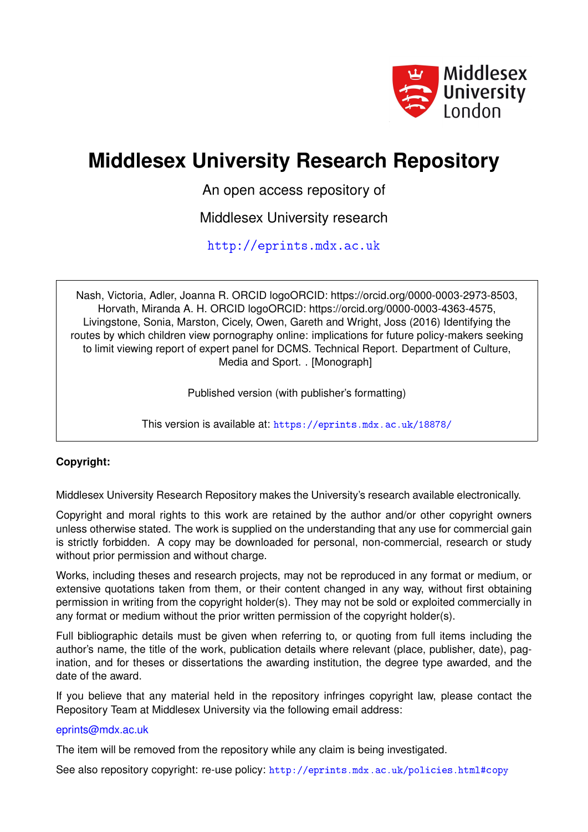

# **Middlesex University Research Repository**

An open access repository of

Middlesex University research

<http://eprints.mdx.ac.uk>

Nash, Victoria, Adler, Joanna R. ORCID logoORCID: https://orcid.org/0000-0003-2973-8503, Horvath, Miranda A. H. ORCID logoORCID: https://orcid.org/0000-0003-4363-4575, Livingstone, Sonia, Marston, Cicely, Owen, Gareth and Wright, Joss (2016) Identifying the routes by which children view pornography online: implications for future policy-makers seeking to limit viewing report of expert panel for DCMS. Technical Report. Department of Culture, Media and Sport. . [Monograph]

Published version (with publisher's formatting)

This version is available at: <https://eprints.mdx.ac.uk/18878/>

#### **Copyright:**

Middlesex University Research Repository makes the University's research available electronically.

Copyright and moral rights to this work are retained by the author and/or other copyright owners unless otherwise stated. The work is supplied on the understanding that any use for commercial gain is strictly forbidden. A copy may be downloaded for personal, non-commercial, research or study without prior permission and without charge.

Works, including theses and research projects, may not be reproduced in any format or medium, or extensive quotations taken from them, or their content changed in any way, without first obtaining permission in writing from the copyright holder(s). They may not be sold or exploited commercially in any format or medium without the prior written permission of the copyright holder(s).

Full bibliographic details must be given when referring to, or quoting from full items including the author's name, the title of the work, publication details where relevant (place, publisher, date), pagination, and for theses or dissertations the awarding institution, the degree type awarded, and the date of the award.

If you believe that any material held in the repository infringes copyright law, please contact the Repository Team at Middlesex University via the following email address:

#### [eprints@mdx.ac.uk](mailto:eprints@mdx.ac.uk)

The item will be removed from the repository while any claim is being investigated.

See also repository copyright: re-use policy: <http://eprints.mdx.ac.uk/policies.html#copy>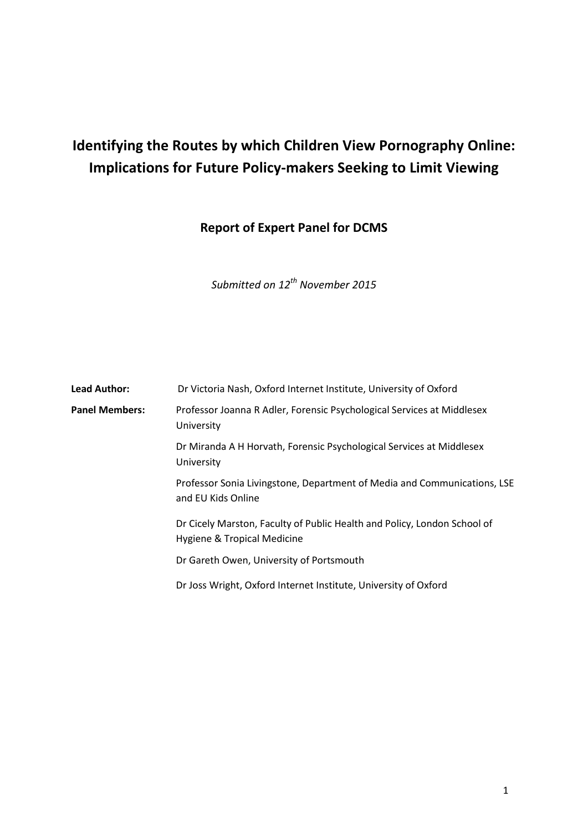# **Identifying the Routes by which Children View Pornography Online: Implications for Future Policy-makers Seeking to Limit Viewing**

**Report of Expert Panel for DCMS**

*Submitted on 12th November 2015*

| <b>Lead Author:</b>   | Dr Victoria Nash, Oxford Internet Institute, University of Oxford                                       |
|-----------------------|---------------------------------------------------------------------------------------------------------|
| <b>Panel Members:</b> | Professor Joanna R Adler, Forensic Psychological Services at Middlesex<br>University                    |
|                       | Dr Miranda A H Horvath, Forensic Psychological Services at Middlesex<br>University                      |
|                       | Professor Sonia Livingstone, Department of Media and Communications, LSE<br>and EU Kids Online          |
|                       | Dr Cicely Marston, Faculty of Public Health and Policy, London School of<br>Hygiene & Tropical Medicine |
|                       | Dr Gareth Owen, University of Portsmouth                                                                |
|                       | Dr Joss Wright, Oxford Internet Institute, University of Oxford                                         |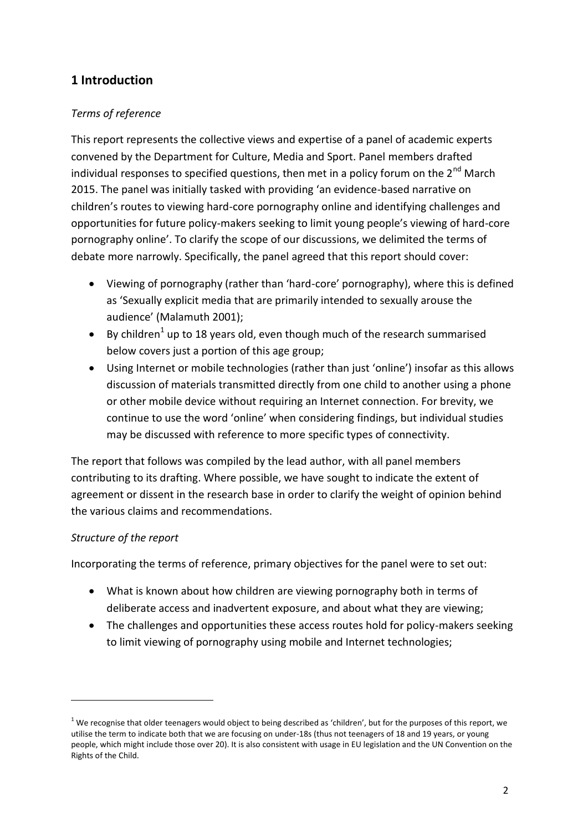# **1 Introduction**

## *Terms of reference*

This report represents the collective views and expertise of a panel of academic experts convened by the Department for Culture, Media and Sport. Panel members drafted individual responses to specified questions, then met in a policy forum on the  $2^{nd}$  March 2015. The panel was initially tasked with providing 'an evidence-based narrative on children's routes to viewing hard-core pornography online and identifying challenges and opportunities for future policy-makers seeking to limit young people's viewing of hard-core pornography online'. To clarify the scope of our discussions, we delimited the terms of debate more narrowly. Specifically, the panel agreed that this report should cover:

- Viewing of pornography (rather than 'hard-core' pornography), where this is defined as 'Sexually explicit media that are primarily intended to sexually arouse the audience' (Malamuth 2001);
- By children<sup>1</sup> up to 18 years old, even though much of the research summarised below covers just a portion of this age group;
- Using Internet or mobile technologies (rather than just 'online') insofar as this allows discussion of materials transmitted directly from one child to another using a phone or other mobile device without requiring an Internet connection. For brevity, we continue to use the word 'online' when considering findings, but individual studies may be discussed with reference to more specific types of connectivity.

The report that follows was compiled by the lead author, with all panel members contributing to its drafting. Where possible, we have sought to indicate the extent of agreement or dissent in the research base in order to clarify the weight of opinion behind the various claims and recommendations.

#### *Structure of the report*

 $\overline{\phantom{a}}$ 

Incorporating the terms of reference, primary objectives for the panel were to set out:

- What is known about how children are viewing pornography both in terms of deliberate access and inadvertent exposure, and about what they are viewing;
- The challenges and opportunities these access routes hold for policy-makers seeking to limit viewing of pornography using mobile and Internet technologies;

 $1$  We recognise that older teenagers would object to being described as 'children', but for the purposes of this report, we utilise the term to indicate both that we are focusing on under-18s (thus not teenagers of 18 and 19 years, or young people, which might include those over 20). It is also consistent with usage in EU legislation and the UN Convention on the Rights of the Child.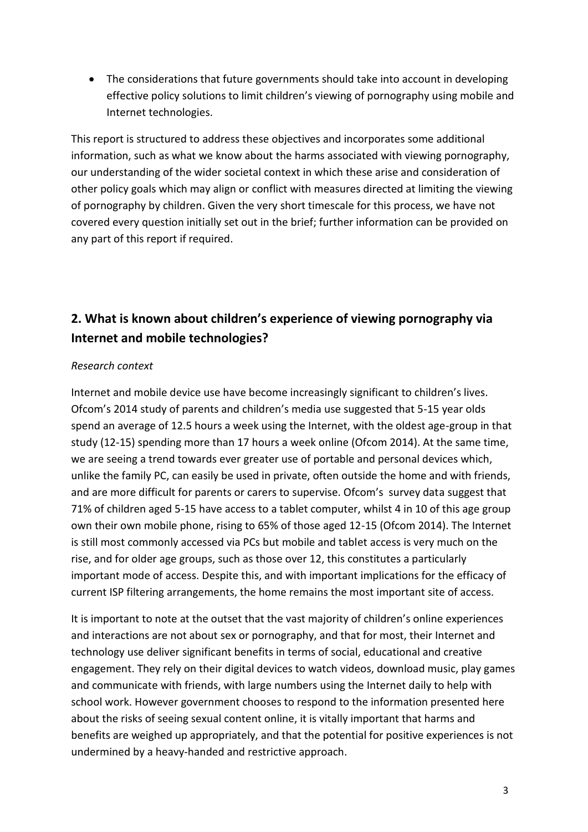The considerations that future governments should take into account in developing effective policy solutions to limit children's viewing of pornography using mobile and Internet technologies.

This report is structured to address these objectives and incorporates some additional information, such as what we know about the harms associated with viewing pornography, our understanding of the wider societal context in which these arise and consideration of other policy goals which may align or conflict with measures directed at limiting the viewing of pornography by children. Given the very short timescale for this process, we have not covered every question initially set out in the brief; further information can be provided on any part of this report if required.

# **2. What is known about children's experience of viewing pornography via Internet and mobile technologies?**

#### *Research context*

Internet and mobile device use have become increasingly significant to children's lives. Ofcom's 2014 study of parents and children's media use suggested that 5-15 year olds spend an average of 12.5 hours a week using the Internet, with the oldest age-group in that study (12-15) spending more than 17 hours a week online (Ofcom 2014). At the same time, we are seeing a trend towards ever greater use of portable and personal devices which, unlike the family PC, can easily be used in private, often outside the home and with friends, and are more difficult for parents or carers to supervise. Ofcom's survey data suggest that 71% of children aged 5-15 have access to a tablet computer, whilst 4 in 10 of this age group own their own mobile phone, rising to 65% of those aged 12-15 (Ofcom 2014). The Internet is still most commonly accessed via PCs but mobile and tablet access is very much on the rise, and for older age groups, such as those over 12, this constitutes a particularly important mode of access. Despite this, and with important implications for the efficacy of current ISP filtering arrangements, the home remains the most important site of access.

It is important to note at the outset that the vast majority of children's online experiences and interactions are not about sex or pornography, and that for most, their Internet and technology use deliver significant benefits in terms of social, educational and creative engagement. They rely on their digital devices to watch videos, download music, play games and communicate with friends, with large numbers using the Internet daily to help with school work. However government chooses to respond to the information presented here about the risks of seeing sexual content online, it is vitally important that harms and benefits are weighed up appropriately, and that the potential for positive experiences is not undermined by a heavy-handed and restrictive approach.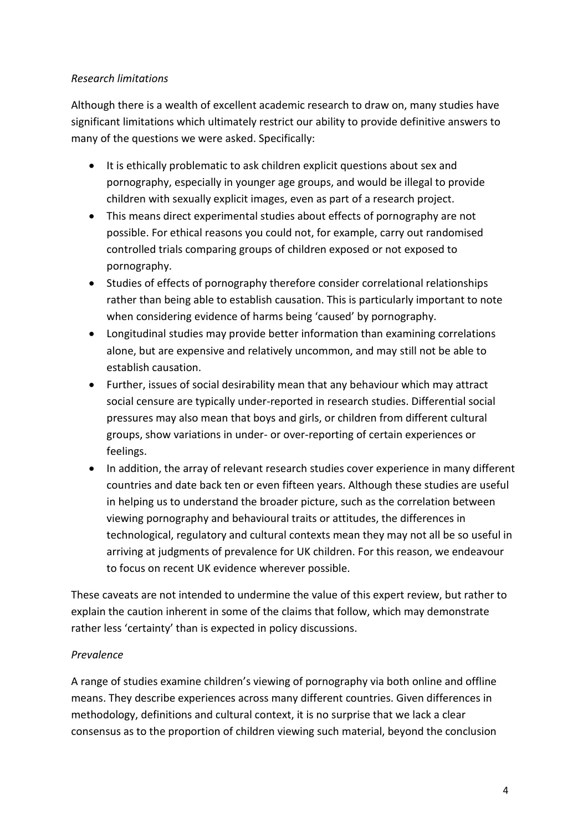### *Research limitations*

Although there is a wealth of excellent academic research to draw on, many studies have significant limitations which ultimately restrict our ability to provide definitive answers to many of the questions we were asked. Specifically:

- It is ethically problematic to ask children explicit questions about sex and pornography, especially in younger age groups, and would be illegal to provide children with sexually explicit images, even as part of a research project.
- This means direct experimental studies about effects of pornography are not possible. For ethical reasons you could not, for example, carry out randomised controlled trials comparing groups of children exposed or not exposed to pornography.
- Studies of effects of pornography therefore consider correlational relationships rather than being able to establish causation. This is particularly important to note when considering evidence of harms being 'caused' by pornography.
- Longitudinal studies may provide better information than examining correlations alone, but are expensive and relatively uncommon, and may still not be able to establish causation.
- Further, issues of social desirability mean that any behaviour which may attract social censure are typically under-reported in research studies. Differential social pressures may also mean that boys and girls, or children from different cultural groups, show variations in under- or over-reporting of certain experiences or feelings.
- In addition, the array of relevant research studies cover experience in many different countries and date back ten or even fifteen years. Although these studies are useful in helping us to understand the broader picture, such as the correlation between viewing pornography and behavioural traits or attitudes, the differences in technological, regulatory and cultural contexts mean they may not all be so useful in arriving at judgments of prevalence for UK children. For this reason, we endeavour to focus on recent UK evidence wherever possible.

These caveats are not intended to undermine the value of this expert review, but rather to explain the caution inherent in some of the claims that follow, which may demonstrate rather less 'certainty' than is expected in policy discussions.

# *Prevalence*

A range of studies examine children's viewing of pornography via both online and offline means. They describe experiences across many different countries. Given differences in methodology, definitions and cultural context, it is no surprise that we lack a clear consensus as to the proportion of children viewing such material, beyond the conclusion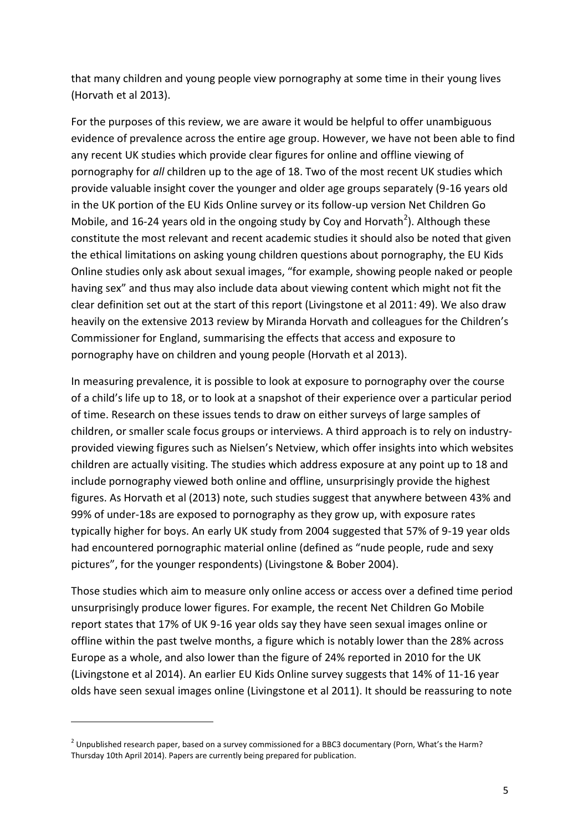that many children and young people view pornography at some time in their young lives (Horvath et al 2013).

For the purposes of this review, we are aware it would be helpful to offer unambiguous evidence of prevalence across the entire age group. However, we have not been able to find any recent UK studies which provide clear figures for online and offline viewing of pornography for *all* children up to the age of 18. Two of the most recent UK studies which provide valuable insight cover the younger and older age groups separately (9-16 years old in the UK portion of the EU Kids Online survey or its follow-up version Net Children Go Mobile, and 16-24 years old in the ongoing study by Coy and Horvath<sup>2</sup>). Although these constitute the most relevant and recent academic studies it should also be noted that given the ethical limitations on asking young children questions about pornography, the EU Kids Online studies only ask about sexual images, "for example, showing people naked or people having sex" and thus may also include data about viewing content which might not fit the clear definition set out at the start of this report (Livingstone et al 2011: 49). We also draw heavily on the extensive 2013 review by Miranda Horvath and colleagues for the Children's Commissioner for England, summarising the effects that access and exposure to pornography have on children and young people (Horvath et al 2013).

In measuring prevalence, it is possible to look at exposure to pornography over the course of a child's life up to 18, or to look at a snapshot of their experience over a particular period of time. Research on these issues tends to draw on either surveys of large samples of children, or smaller scale focus groups or interviews. A third approach is to rely on industryprovided viewing figures such as Nielsen's Netview, which offer insights into which websites children are actually visiting. The studies which address exposure at any point up to 18 and include pornography viewed both online and offline, unsurprisingly provide the highest figures. As Horvath et al (2013) note, such studies suggest that anywhere between 43% and 99% of under-18s are exposed to pornography as they grow up, with exposure rates typically higher for boys. An early UK study from 2004 suggested that 57% of 9-19 year olds had encountered pornographic material online (defined as "nude people, rude and sexy pictures", for the younger respondents) (Livingstone & Bober 2004).

Those studies which aim to measure only online access or access over a defined time period unsurprisingly produce lower figures. For example, the recent Net Children Go Mobile report states that 17% of UK 9-16 year olds say they have seen sexual images online or offline within the past twelve months, a figure which is notably lower than the 28% across Europe as a whole, and also lower than the figure of 24% reported in 2010 for the UK (Livingstone et al 2014). An earlier EU Kids Online survey suggests that 14% of 11-16 year olds have seen sexual images online (Livingstone et al 2011). It should be reassuring to note

**.** 

<sup>&</sup>lt;sup>2</sup> Unpublished research paper, based on a survey commissioned for a BBC3 documentary (Porn, What's the Harm? Thursday 10th April 2014). Papers are currently being prepared for publication.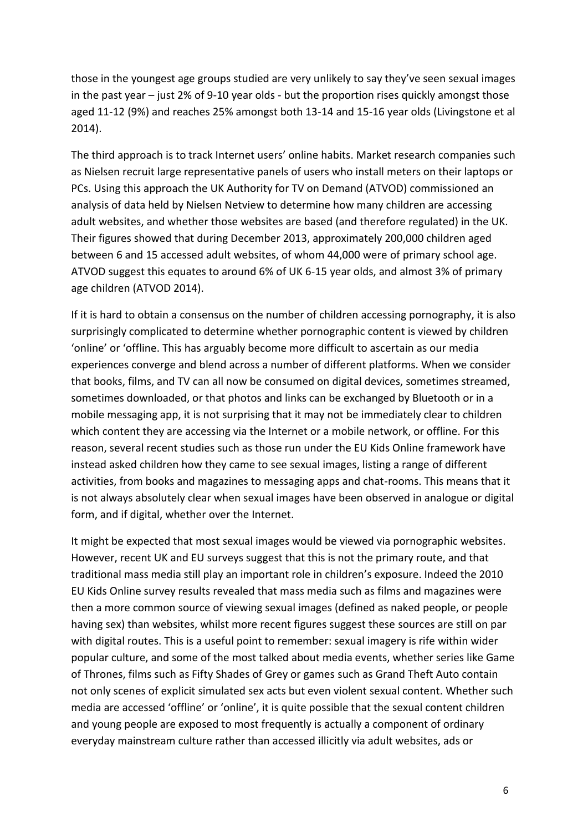those in the youngest age groups studied are very unlikely to say they've seen sexual images in the past year – just 2% of 9-10 year olds - but the proportion rises quickly amongst those aged 11-12 (9%) and reaches 25% amongst both 13-14 and 15-16 year olds (Livingstone et al 2014).

The third approach is to track Internet users' online habits. Market research companies such as Nielsen recruit large representative panels of users who install meters on their laptops or PCs. Using this approach the UK Authority for TV on Demand (ATVOD) commissioned an analysis of data held by Nielsen Netview to determine how many children are accessing adult websites, and whether those websites are based (and therefore regulated) in the UK. Their figures showed that during December 2013, approximately 200,000 children aged between 6 and 15 accessed adult websites, of whom 44,000 were of primary school age. ATVOD suggest this equates to around 6% of UK 6-15 year olds, and almost 3% of primary age children (ATVOD 2014).

If it is hard to obtain a consensus on the number of children accessing pornography, it is also surprisingly complicated to determine whether pornographic content is viewed by children 'online' or 'offline. This has arguably become more difficult to ascertain as our media experiences converge and blend across a number of different platforms. When we consider that books, films, and TV can all now be consumed on digital devices, sometimes streamed, sometimes downloaded, or that photos and links can be exchanged by Bluetooth or in a mobile messaging app, it is not surprising that it may not be immediately clear to children which content they are accessing via the Internet or a mobile network, or offline. For this reason, several recent studies such as those run under the EU Kids Online framework have instead asked children how they came to see sexual images, listing a range of different activities, from books and magazines to messaging apps and chat-rooms. This means that it is not always absolutely clear when sexual images have been observed in analogue or digital form, and if digital, whether over the Internet.

It might be expected that most sexual images would be viewed via pornographic websites. However, recent UK and EU surveys suggest that this is not the primary route, and that traditional mass media still play an important role in children's exposure. Indeed the 2010 EU Kids Online survey results revealed that mass media such as films and magazines were then a more common source of viewing sexual images (defined as naked people, or people having sex) than websites, whilst more recent figures suggest these sources are still on par with digital routes. This is a useful point to remember: sexual imagery is rife within wider popular culture, and some of the most talked about media events, whether series like Game of Thrones, films such as Fifty Shades of Grey or games such as Grand Theft Auto contain not only scenes of explicit simulated sex acts but even violent sexual content. Whether such media are accessed 'offline' or 'online', it is quite possible that the sexual content children and young people are exposed to most frequently is actually a component of ordinary everyday mainstream culture rather than accessed illicitly via adult websites, ads or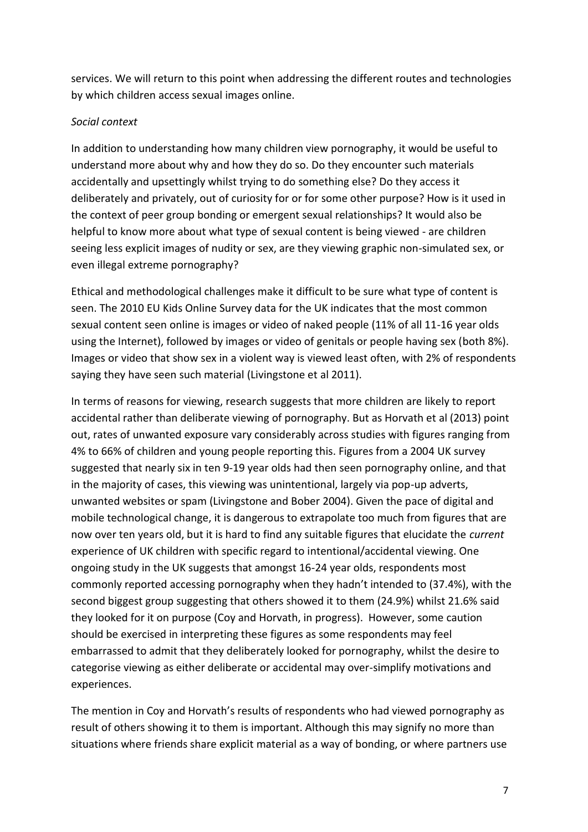services. We will return to this point when addressing the different routes and technologies by which children access sexual images online.

### *Social context*

In addition to understanding how many children view pornography, it would be useful to understand more about why and how they do so. Do they encounter such materials accidentally and upsettingly whilst trying to do something else? Do they access it deliberately and privately, out of curiosity for or for some other purpose? How is it used in the context of peer group bonding or emergent sexual relationships? It would also be helpful to know more about what type of sexual content is being viewed - are children seeing less explicit images of nudity or sex, are they viewing graphic non-simulated sex, or even illegal extreme pornography?

Ethical and methodological challenges make it difficult to be sure what type of content is seen. The 2010 EU Kids Online Survey data for the UK indicates that the most common sexual content seen online is images or video of naked people (11% of all 11-16 year olds using the Internet), followed by images or video of genitals or people having sex (both 8%). Images or video that show sex in a violent way is viewed least often, with 2% of respondents saying they have seen such material (Livingstone et al 2011).

In terms of reasons for viewing, research suggests that more children are likely to report accidental rather than deliberate viewing of pornography. But as Horvath et al (2013) point out, rates of unwanted exposure vary considerably across studies with figures ranging from 4% to 66% of children and young people reporting this. Figures from a 2004 UK survey suggested that nearly six in ten 9-19 year olds had then seen pornography online, and that in the majority of cases, this viewing was unintentional, largely via pop-up adverts, unwanted websites or spam (Livingstone and Bober 2004). Given the pace of digital and mobile technological change, it is dangerous to extrapolate too much from figures that are now over ten years old, but it is hard to find any suitable figures that elucidate the *current* experience of UK children with specific regard to intentional/accidental viewing. One ongoing study in the UK suggests that amongst 16-24 year olds, respondents most commonly reported accessing pornography when they hadn't intended to (37.4%), with the second biggest group suggesting that others showed it to them (24.9%) whilst 21.6% said they looked for it on purpose (Coy and Horvath, in progress). However, some caution should be exercised in interpreting these figures as some respondents may feel embarrassed to admit that they deliberately looked for pornography, whilst the desire to categorise viewing as either deliberate or accidental may over-simplify motivations and experiences.

The mention in Coy and Horvath's results of respondents who had viewed pornography as result of others showing it to them is important. Although this may signify no more than situations where friends share explicit material as a way of bonding, or where partners use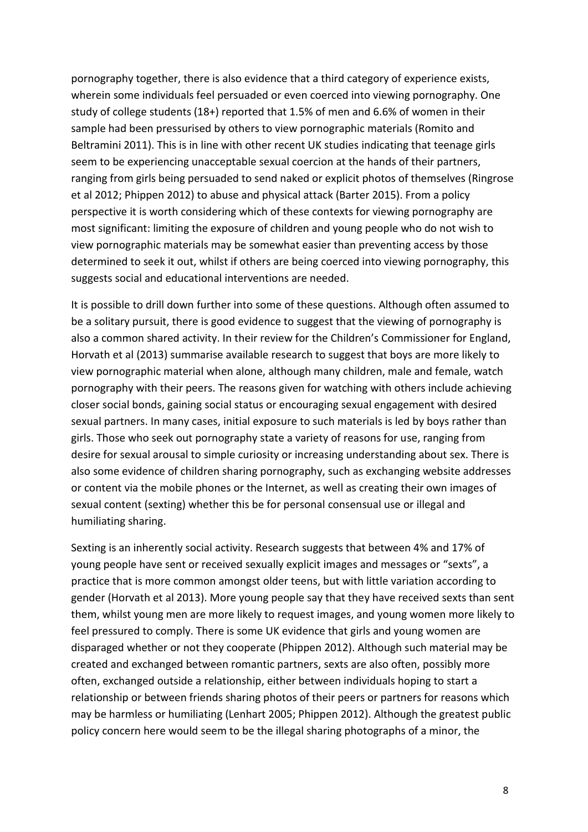pornography together, there is also evidence that a third category of experience exists, wherein some individuals feel persuaded or even coerced into viewing pornography. One study of college students (18+) reported that 1.5% of men and 6.6% of women in their sample had been pressurised by others to view pornographic materials (Romito and Beltramini 2011). This is in line with other recent UK studies indicating that teenage girls seem to be experiencing unacceptable sexual coercion at the hands of their partners, ranging from girls being persuaded to send naked or explicit photos of themselves (Ringrose et al 2012; Phippen 2012) to abuse and physical attack (Barter 2015). From a policy perspective it is worth considering which of these contexts for viewing pornography are most significant: limiting the exposure of children and young people who do not wish to view pornographic materials may be somewhat easier than preventing access by those determined to seek it out, whilst if others are being coerced into viewing pornography, this suggests social and educational interventions are needed.

It is possible to drill down further into some of these questions. Although often assumed to be a solitary pursuit, there is good evidence to suggest that the viewing of pornography is also a common shared activity. In their review for the Children's Commissioner for England, Horvath et al (2013) summarise available research to suggest that boys are more likely to view pornographic material when alone, although many children, male and female, watch pornography with their peers. The reasons given for watching with others include achieving closer social bonds, gaining social status or encouraging sexual engagement with desired sexual partners. In many cases, initial exposure to such materials is led by boys rather than girls. Those who seek out pornography state a variety of reasons for use, ranging from desire for sexual arousal to simple curiosity or increasing understanding about sex. There is also some evidence of children sharing pornography, such as exchanging website addresses or content via the mobile phones or the Internet, as well as creating their own images of sexual content (sexting) whether this be for personal consensual use or illegal and humiliating sharing.

Sexting is an inherently social activity. Research suggests that between 4% and 17% of young people have sent or received sexually explicit images and messages or "sexts", a practice that is more common amongst older teens, but with little variation according to gender (Horvath et al 2013). More young people say that they have received sexts than sent them, whilst young men are more likely to request images, and young women more likely to feel pressured to comply. There is some UK evidence that girls and young women are disparaged whether or not they cooperate (Phippen 2012). Although such material may be created and exchanged between romantic partners, sexts are also often, possibly more often, exchanged outside a relationship, either between individuals hoping to start a relationship or between friends sharing photos of their peers or partners for reasons which may be harmless or humiliating (Lenhart 2005; Phippen 2012). Although the greatest public policy concern here would seem to be the illegal sharing photographs of a minor, the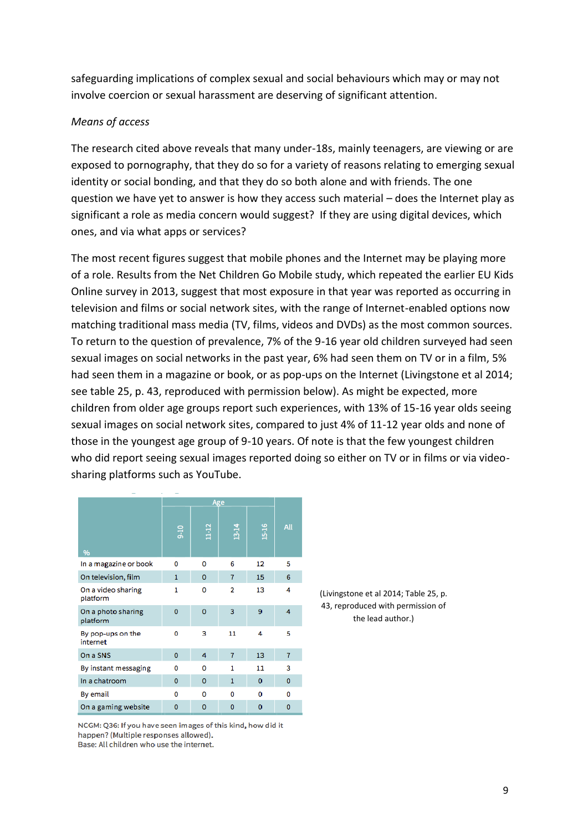safeguarding implications of complex sexual and social behaviours which may or may not involve coercion or sexual harassment are deserving of significant attention.

#### *Means of access*

The research cited above reveals that many under-18s, mainly teenagers, are viewing or are exposed to pornography, that they do so for a variety of reasons relating to emerging sexual identity or social bonding, and that they do so both alone and with friends. The one question we have yet to answer is how they access such material – does the Internet play as significant a role as media concern would suggest? If they are using digital devices, which ones, and via what apps or services?

The most recent figures suggest that mobile phones and the Internet may be playing more of a role. Results from the Net Children Go Mobile study, which repeated the earlier EU Kids Online survey in 2013, suggest that most exposure in that year was reported as occurring in television and films or social network sites, with the range of Internet-enabled options now matching traditional mass media (TV, films, videos and DVDs) as the most common sources. To return to the question of prevalence, 7% of the 9-16 year old children surveyed had seen sexual images on social networks in the past year, 6% had seen them on TV or in a film, 5% had seen them in a magazine or book, or as pop-ups on the Internet (Livingstone et al 2014; see table 25, p. 43, reproduced with permission below). As might be expected, more children from older age groups report such experiences, with 13% of 15-16 year olds seeing sexual images on social network sites, compared to just 4% of 11-12 year olds and none of those in the youngest age group of 9-10 years. Of note is that the few youngest children who did report seeing sexual images reported doing so either on TV or in films or via videosharing platforms such as YouTube.

|                                | Age          |             |                |             |                |
|--------------------------------|--------------|-------------|----------------|-------------|----------------|
| %                              | $9 - 10$     | $11 - 12$   | $13-14$        | $15 - 16$   | All            |
| In a magazine or book          | 0            | 0           | 6              | 12          | 5              |
| On television, film            | $\mathbf{1}$ | $\Omega$    | $\overline{7}$ | 15          | 6              |
| On a video sharing<br>platform | 1            | 0           | $\overline{2}$ | 13          | 4              |
| On a photo sharing<br>platform | $\Omega$     | $\mathbf 0$ | 3              | 9           | 4              |
| By pop-ups on the<br>internet  | 0            | 3           | 11             | 4           | 5              |
| On a SNS                       | $\bf{0}$     | 4           | 7              | 13          | $\overline{7}$ |
| By instant messaging           | o            | 0           | 1              | 11          | 3              |
| In a chatroom                  | 0            | $\mathbf 0$ | $\mathbf{1}$   | 0           | 0              |
| By email                       | 0            | 0           | 0              | $\Omega$    | 0              |
| On a gaming website            | $\mathbf{0}$ | $\mathbf 0$ | $\mathbf 0$    | $\mathbf 0$ | 0              |

(Livingstone et al 2014; Table 25, p. 43, reproduced with permission of the lead author.)

NCGM: Q36: If you have seen images of this kind, how did it happen? (Multiple responses allowed). Base: All children who use the internet.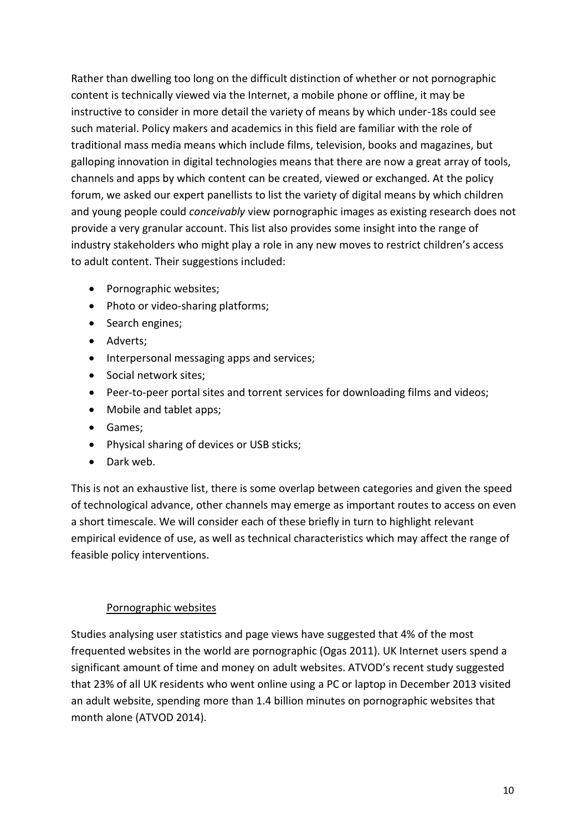Rather than dwelling too long on the difficult distinction of whether or not pornographic content is technically viewed via the Internet, a mobile phone or offline, it may be instructive to consider in more detail the variety of means by which under-18s could see such material. Policy makers and academics in this field are familiar with the role of traditional mass media means which include films, television, books and magazines, but galloping innovation in digital technologies means that there are now a great array of tools, channels and apps by which content can be created, viewed or exchanged. At the policy forum, we asked our expert panellists to list the variety of digital means by which children and young people could *conceivably* view pornographic images as existing research does not provide a very granular account. This list also provides some insight into the range of industry stakeholders who might play a role in any new moves to restrict children's access to adult content. Their suggestions included:

- Pornographic websites;
- Photo or video-sharing platforms;
- Search engines;
- Adverts;
- Interpersonal messaging apps and services;
- Social network sites;
- Peer-to-peer portal sites and torrent services for downloading films and videos;
- Mobile and tablet apps:
- Games;
- Physical sharing of devices or USB sticks;
- **•** Dark web.

This is not an exhaustive list, there is some overlap between categories and given the speed of technological advance, other channels may emerge as important routes to access on even a short timescale. We will consider each of these briefly in turn to highlight relevant empirical evidence of use, as well as technical characteristics which may affect the range of feasible policy interventions.

#### Pornographic websites

Studies analysing user statistics and page views have suggested that 4% of the most frequented websites in the world are pornographic (Ogas 2011). UK Internet users spend a significant amount of time and money on adult websites. ATVOD's recent study suggested that 23% of all UK residents who went online using a PC or laptop in December 2013 visited an adult website, spending more than 1.4 billion minutes on pornographic websites that month alone (ATVOD 2014).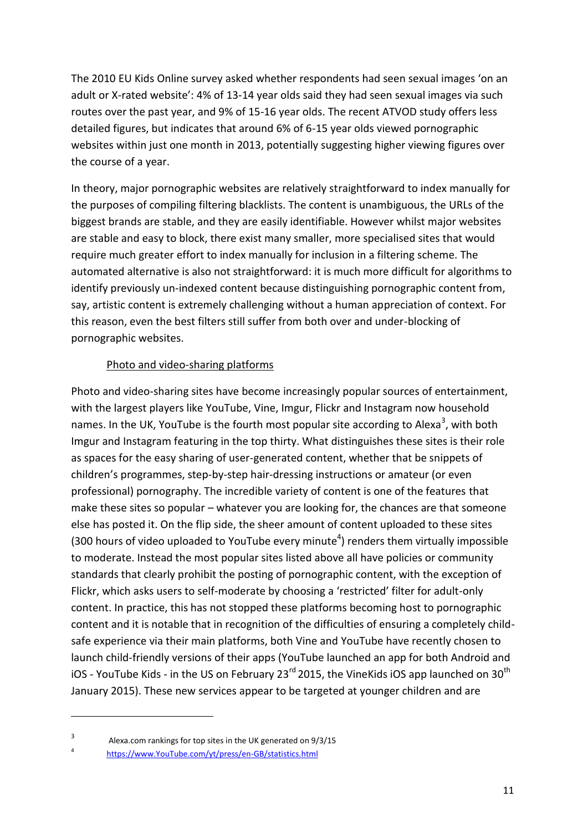The 2010 EU Kids Online survey asked whether respondents had seen sexual images 'on an adult or X-rated website': 4% of 13-14 year olds said they had seen sexual images via such routes over the past year, and 9% of 15-16 year olds. The recent ATVOD study offers less detailed figures, but indicates that around 6% of 6-15 year olds viewed pornographic websites within just one month in 2013, potentially suggesting higher viewing figures over the course of a year.

In theory, major pornographic websites are relatively straightforward to index manually for the purposes of compiling filtering blacklists. The content is unambiguous, the URLs of the biggest brands are stable, and they are easily identifiable. However whilst major websites are stable and easy to block, there exist many smaller, more specialised sites that would require much greater effort to index manually for inclusion in a filtering scheme. The automated alternative is also not straightforward: it is much more difficult for algorithms to identify previously un-indexed content because distinguishing pornographic content from, say, artistic content is extremely challenging without a human appreciation of context. For this reason, even the best filters still suffer from both over and under-blocking of pornographic websites.

#### Photo and video-sharing platforms

Photo and video-sharing sites have become increasingly popular sources of entertainment, with the largest players like YouTube, Vine, Imgur, Flickr and Instagram now household names. In the UK, YouTube is the fourth most popular site according to Alexa<sup>3</sup>, with both Imgur and Instagram featuring in the top thirty. What distinguishes these sites is their role as spaces for the easy sharing of user-generated content, whether that be snippets of children's programmes, step-by-step hair-dressing instructions or amateur (or even professional) pornography. The incredible variety of content is one of the features that make these sites so popular – whatever you are looking for, the chances are that someone else has posted it. On the flip side, the sheer amount of content uploaded to these sites (300 hours of video uploaded to YouTube every minute<sup>4</sup>) renders them virtually impossible to moderate. Instead the most popular sites listed above all have policies or community standards that clearly prohibit the posting of pornographic content, with the exception of Flickr, which asks users to self-moderate by choosing a 'restricted' filter for adult-only content. In practice, this has not stopped these platforms becoming host to pornographic content and it is notable that in recognition of the difficulties of ensuring a completely childsafe experience via their main platforms, both Vine and YouTube have recently chosen to launch child-friendly versions of their apps (YouTube launched an app for both Android and iOS - YouTube Kids - in the US on February 23 $^{rd}$  2015, the VineKids iOS app launched on 30<sup>th</sup> January 2015). These new services appear to be targeted at younger children and are

**.** 

<sup>3</sup> Alexa.com rankings for top sites in the UK generated on 9/3/15

<sup>4</sup> [https://www.YouTube.com/yt/press/en-GB/statistics.html](https://www.youtube.com/yt/press/en-GB/statistics.html)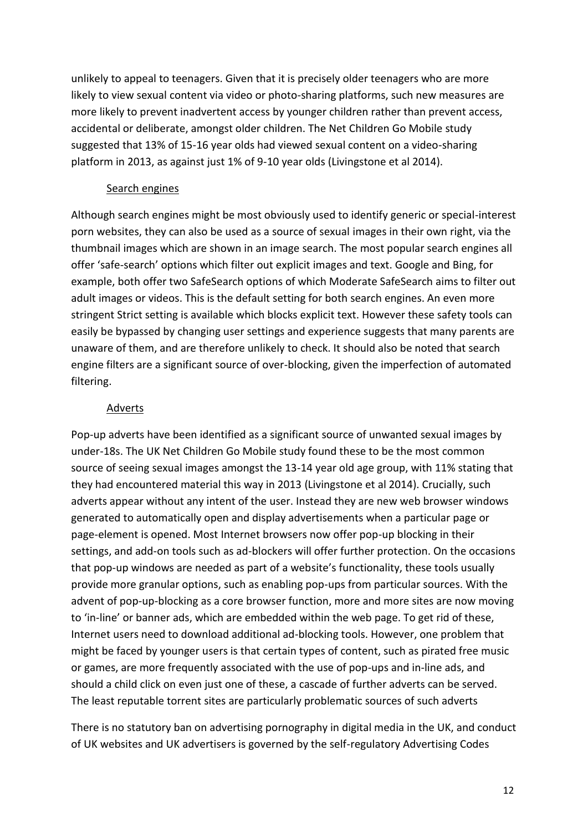unlikely to appeal to teenagers. Given that it is precisely older teenagers who are more likely to view sexual content via video or photo-sharing platforms, such new measures are more likely to prevent inadvertent access by younger children rather than prevent access, accidental or deliberate, amongst older children. The Net Children Go Mobile study suggested that 13% of 15-16 year olds had viewed sexual content on a video-sharing platform in 2013, as against just 1% of 9-10 year olds (Livingstone et al 2014).

#### Search engines

Although search engines might be most obviously used to identify generic or special-interest porn websites, they can also be used as a source of sexual images in their own right, via the thumbnail images which are shown in an image search. The most popular search engines all offer 'safe-search' options which filter out explicit images and text. Google and Bing, for example, both offer two SafeSearch options of which Moderate SafeSearch aims to filter out adult images or videos. This is the default setting for both search engines. An even more stringent Strict setting is available which blocks explicit text. However these safety tools can easily be bypassed by changing user settings and experience suggests that many parents are unaware of them, and are therefore unlikely to check. It should also be noted that search engine filters are a significant source of over-blocking, given the imperfection of automated filtering.

#### Adverts

Pop-up adverts have been identified as a significant source of unwanted sexual images by under-18s. The UK Net Children Go Mobile study found these to be the most common source of seeing sexual images amongst the 13-14 year old age group, with 11% stating that they had encountered material this way in 2013 (Livingstone et al 2014). Crucially, such adverts appear without any intent of the user. Instead they are new web browser windows generated to automatically open and display advertisements when a particular page or page-element is opened. Most Internet browsers now offer pop-up blocking in their settings, and add-on tools such as ad-blockers will offer further protection. On the occasions that pop-up windows are needed as part of a website's functionality, these tools usually provide more granular options, such as enabling pop-ups from particular sources. With the advent of pop-up-blocking as a core browser function, more and more sites are now moving to 'in-line' or banner ads, which are embedded within the web page. To get rid of these, Internet users need to download additional ad-blocking tools. However, one problem that might be faced by younger users is that certain types of content, such as pirated free music or games, are more frequently associated with the use of pop-ups and in-line ads, and should a child click on even just one of these, a cascade of further adverts can be served. The least reputable torrent sites are particularly problematic sources of such adverts

There is no statutory ban on advertising pornography in digital media in the UK, and conduct of UK websites and UK advertisers is governed by the self-regulatory Advertising Codes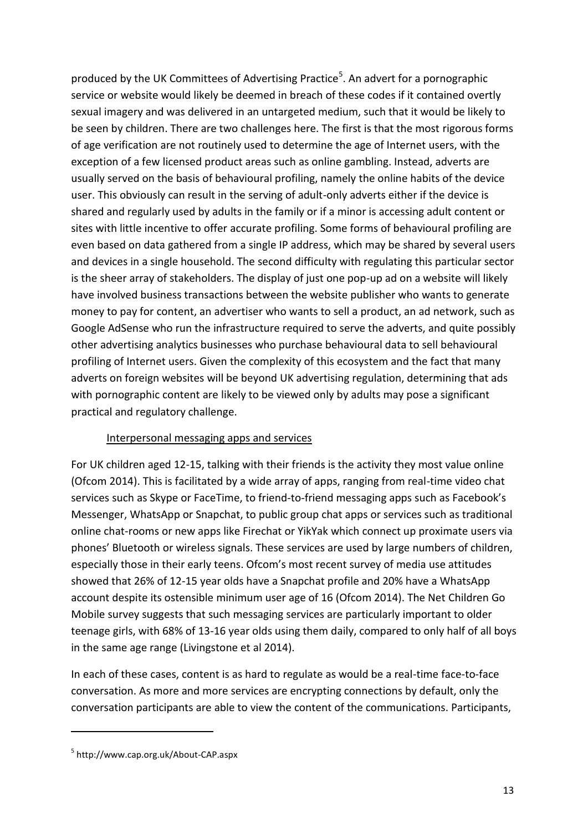produced by the UK Committees of Advertising Practice<sup>5</sup>. An advert for a pornographic service or website would likely be deemed in breach of these codes if it contained overtly sexual imagery and was delivered in an untargeted medium, such that it would be likely to be seen by children. There are two challenges here. The first is that the most rigorous forms of age verification are not routinely used to determine the age of Internet users, with the exception of a few licensed product areas such as online gambling. Instead, adverts are usually served on the basis of behavioural profiling, namely the online habits of the device user. This obviously can result in the serving of adult-only adverts either if the device is shared and regularly used by adults in the family or if a minor is accessing adult content or sites with little incentive to offer accurate profiling. Some forms of behavioural profiling are even based on data gathered from a single IP address, which may be shared by several users and devices in a single household. The second difficulty with regulating this particular sector is the sheer array of stakeholders. The display of just one pop-up ad on a website will likely have involved business transactions between the website publisher who wants to generate money to pay for content, an advertiser who wants to sell a product, an ad network, such as Google AdSense who run the infrastructure required to serve the adverts, and quite possibly other advertising analytics businesses who purchase behavioural data to sell behavioural profiling of Internet users. Given the complexity of this ecosystem and the fact that many adverts on foreign websites will be beyond UK advertising regulation, determining that ads with pornographic content are likely to be viewed only by adults may pose a significant practical and regulatory challenge.

#### Interpersonal messaging apps and services

For UK children aged 12-15, talking with their friends is the activity they most value online (Ofcom 2014). This is facilitated by a wide array of apps, ranging from real-time video chat services such as Skype or FaceTime, to friend-to-friend messaging apps such as Facebook's Messenger, WhatsApp or Snapchat, to public group chat apps or services such as traditional online chat-rooms or new apps like Firechat or YikYak which connect up proximate users via phones' Bluetooth or wireless signals. These services are used by large numbers of children, especially those in their early teens. Ofcom's most recent survey of media use attitudes showed that 26% of 12-15 year olds have a Snapchat profile and 20% have a WhatsApp account despite its ostensible minimum user age of 16 (Ofcom 2014). The Net Children Go Mobile survey suggests that such messaging services are particularly important to older teenage girls, with 68% of 13-16 year olds using them daily, compared to only half of all boys in the same age range (Livingstone et al 2014).

In each of these cases, content is as hard to regulate as would be a real-time face-to-face conversation. As more and more services are encrypting connections by default, only the conversation participants are able to view the content of the communications. Participants,

**.** 

<sup>5</sup> http://www.cap.org.uk/About-CAP.aspx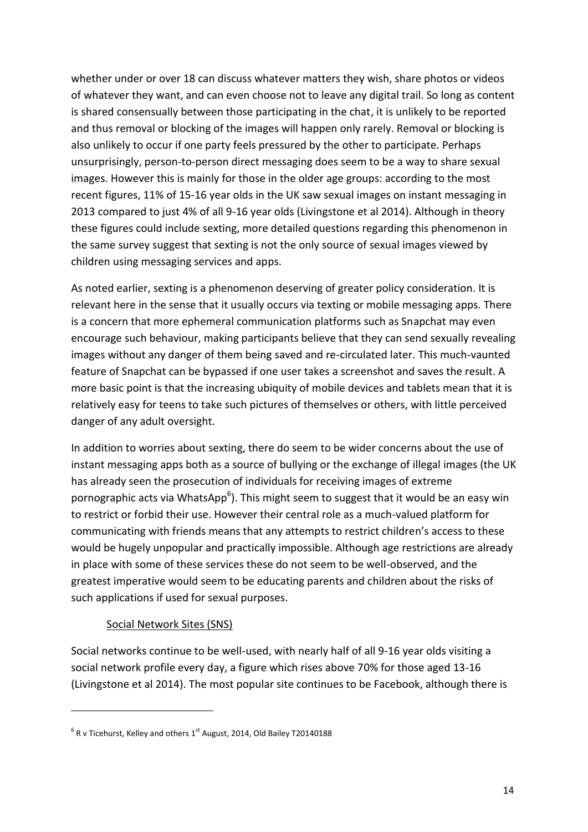whether under or over 18 can discuss whatever matters they wish, share photos or videos of whatever they want, and can even choose not to leave any digital trail. So long as content is shared consensually between those participating in the chat, it is unlikely to be reported and thus removal or blocking of the images will happen only rarely. Removal or blocking is also unlikely to occur if one party feels pressured by the other to participate. Perhaps unsurprisingly, person-to-person direct messaging does seem to be a way to share sexual images. However this is mainly for those in the older age groups: according to the most recent figures, 11% of 15-16 year olds in the UK saw sexual images on instant messaging in 2013 compared to just 4% of all 9-16 year olds (Livingstone et al 2014). Although in theory these figures could include sexting, more detailed questions regarding this phenomenon in the same survey suggest that sexting is not the only source of sexual images viewed by children using messaging services and apps.

As noted earlier, sexting is a phenomenon deserving of greater policy consideration. It is relevant here in the sense that it usually occurs via texting or mobile messaging apps. There is a concern that more ephemeral communication platforms such as Snapchat may even encourage such behaviour, making participants believe that they can send sexually revealing images without any danger of them being saved and re-circulated later. This much-vaunted feature of Snapchat can be bypassed if one user takes a screenshot and saves the result. A more basic point is that the increasing ubiquity of mobile devices and tablets mean that it is relatively easy for teens to take such pictures of themselves or others, with little perceived danger of any adult oversight.

In addition to worries about sexting, there do seem to be wider concerns about the use of instant messaging apps both as a source of bullying or the exchange of illegal images (the UK has already seen the prosecution of individuals for receiving images of extreme pornographic acts via WhatsApp<sup>6</sup>). This might seem to suggest that it would be an easy win to restrict or forbid their use. However their central role as a much-valued platform for communicating with friends means that any attempts to restrict children's access to these would be hugely unpopular and practically impossible. Although age restrictions are already in place with some of these services these do not seem to be well-observed, and the greatest imperative would seem to be educating parents and children about the risks of such applications if used for sexual purposes.

#### Social Network Sites (SNS)

**.** 

Social networks continue to be well-used, with nearly half of all 9-16 year olds visiting a social network profile every day, a figure which rises above 70% for those aged 13-16 (Livingstone et al 2014). The most popular site continues to be Facebook, although there is

 ${}^{6}$  R v Ticehurst, Kelley and others 1<sup>st</sup> August, 2014, Old Bailey T20140188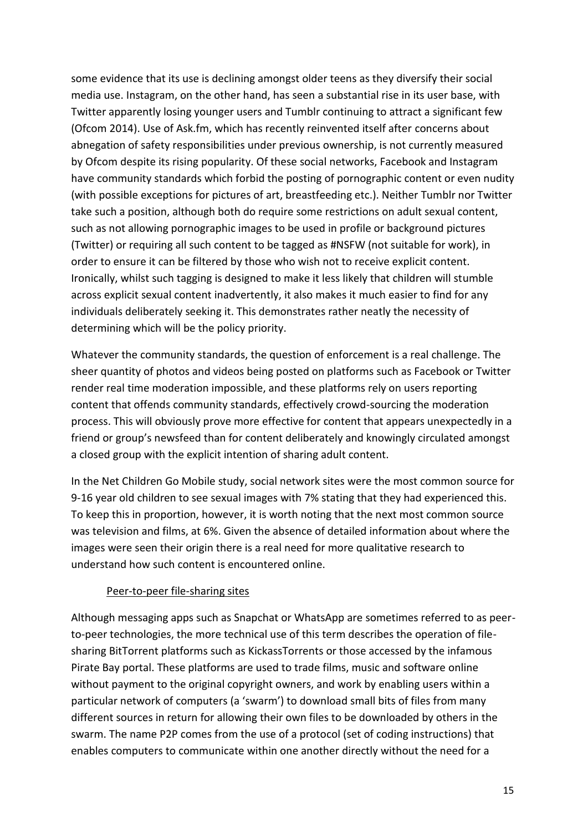some evidence that its use is declining amongst older teens as they diversify their social media use. Instagram, on the other hand, has seen a substantial rise in its user base, with Twitter apparently losing younger users and Tumblr continuing to attract a significant few (Ofcom 2014). Use of Ask.fm, which has recently reinvented itself after concerns about abnegation of safety responsibilities under previous ownership, is not currently measured by Ofcom despite its rising popularity. Of these social networks, Facebook and Instagram have community standards which forbid the posting of pornographic content or even nudity (with possible exceptions for pictures of art, breastfeeding etc.). Neither Tumblr nor Twitter take such a position, although both do require some restrictions on adult sexual content, such as not allowing pornographic images to be used in profile or background pictures (Twitter) or requiring all such content to be tagged as #NSFW (not suitable for work), in order to ensure it can be filtered by those who wish not to receive explicit content. Ironically, whilst such tagging is designed to make it less likely that children will stumble across explicit sexual content inadvertently, it also makes it much easier to find for any individuals deliberately seeking it. This demonstrates rather neatly the necessity of determining which will be the policy priority.

Whatever the community standards, the question of enforcement is a real challenge. The sheer quantity of photos and videos being posted on platforms such as Facebook or Twitter render real time moderation impossible, and these platforms rely on users reporting content that offends community standards, effectively crowd-sourcing the moderation process. This will obviously prove more effective for content that appears unexpectedly in a friend or group's newsfeed than for content deliberately and knowingly circulated amongst a closed group with the explicit intention of sharing adult content.

In the Net Children Go Mobile study, social network sites were the most common source for 9-16 year old children to see sexual images with 7% stating that they had experienced this. To keep this in proportion, however, it is worth noting that the next most common source was television and films, at 6%. Given the absence of detailed information about where the images were seen their origin there is a real need for more qualitative research to understand how such content is encountered online.

#### Peer-to-peer file-sharing sites

Although messaging apps such as Snapchat or WhatsApp are sometimes referred to as peerto-peer technologies, the more technical use of this term describes the operation of filesharing BitTorrent platforms such as KickassTorrents or those accessed by the infamous Pirate Bay portal. These platforms are used to trade films, music and software online without payment to the original copyright owners, and work by enabling users within a particular network of computers (a 'swarm') to download small bits of files from many different sources in return for allowing their own files to be downloaded by others in the swarm. The name P2P comes from the use of a protocol (set of coding instructions) that enables computers to communicate within one another directly without the need for a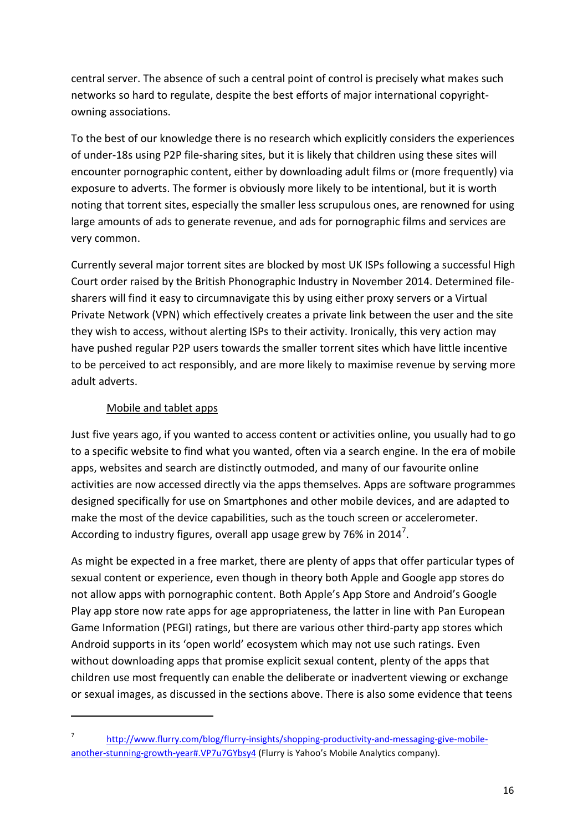central server. The absence of such a central point of control is precisely what makes such networks so hard to regulate, despite the best efforts of major international copyrightowning associations.

To the best of our knowledge there is no research which explicitly considers the experiences of under-18s using P2P file-sharing sites, but it is likely that children using these sites will encounter pornographic content, either by downloading adult films or (more frequently) via exposure to adverts. The former is obviously more likely to be intentional, but it is worth noting that torrent sites, especially the smaller less scrupulous ones, are renowned for using large amounts of ads to generate revenue, and ads for pornographic films and services are very common.

Currently several major torrent sites are blocked by most UK ISPs following a successful High Court order raised by the British Phonographic Industry in November 2014. Determined filesharers will find it easy to circumnavigate this by using either proxy servers or a Virtual Private Network (VPN) which effectively creates a private link between the user and the site they wish to access, without alerting ISPs to their activity. Ironically, this very action may have pushed regular P2P users towards the smaller torrent sites which have little incentive to be perceived to act responsibly, and are more likely to maximise revenue by serving more adult adverts.

## Mobile and tablet apps

**.** 

Just five years ago, if you wanted to access content or activities online, you usually had to go to a specific website to find what you wanted, often via a search engine. In the era of mobile apps, websites and search are distinctly outmoded, and many of our favourite online activities are now accessed directly via the apps themselves. Apps are software programmes designed specifically for use on Smartphones and other mobile devices, and are adapted to make the most of the device capabilities, such as the touch screen or accelerometer. According to industry figures, overall app usage grew by 76% in 2014<sup>7</sup>.

As might be expected in a free market, there are plenty of apps that offer particular types of sexual content or experience, even though in theory both Apple and Google app stores do not allow apps with pornographic content. Both Apple's App Store and Android's Google Play app store now rate apps for age appropriateness, the latter in line with Pan European Game Information (PEGI) ratings, but there are various other third-party app stores which Android supports in its 'open world' ecosystem which may not use such ratings. Even without downloading apps that promise explicit sexual content, plenty of the apps that children use most frequently can enable the deliberate or inadvertent viewing or exchange or sexual images, as discussed in the sections above. There is also some evidence that teens

<sup>7</sup> [http://www.flurry.com/blog/flurry-insights/shopping-productivity-and-messaging-give-mobile](http://www.flurry.com/blog/flurry-insights/shopping-productivity-and-messaging-give-mobile-another-stunning-growth-year#.VP7u7GYbsy4)[another-stunning-growth-year#.VP7u7GYbsy4](http://www.flurry.com/blog/flurry-insights/shopping-productivity-and-messaging-give-mobile-another-stunning-growth-year#.VP7u7GYbsy4) (Flurry is Yahoo's Mobile Analytics company).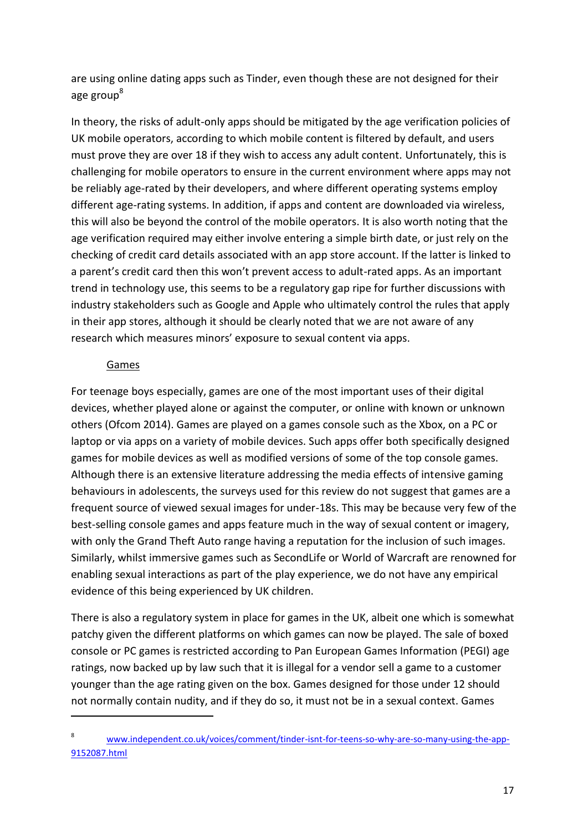are using online dating apps such as Tinder, even though these are not designed for their age group<sup>8</sup>

In theory, the risks of adult-only apps should be mitigated by the age verification policies of UK mobile operators, according to which mobile content is filtered by default, and users must prove they are over 18 if they wish to access any adult content. Unfortunately, this is challenging for mobile operators to ensure in the current environment where apps may not be reliably age-rated by their developers, and where different operating systems employ different age-rating systems. In addition, if apps and content are downloaded via wireless, this will also be beyond the control of the mobile operators. It is also worth noting that the age verification required may either involve entering a simple birth date, or just rely on the checking of credit card details associated with an app store account. If the latter is linked to a parent's credit card then this won't prevent access to adult-rated apps. As an important trend in technology use, this seems to be a regulatory gap ripe for further discussions with industry stakeholders such as Google and Apple who ultimately control the rules that apply in their app stores, although it should be clearly noted that we are not aware of any research which measures minors' exposure to sexual content via apps.

#### Games

**.** 

For teenage boys especially, games are one of the most important uses of their digital devices, whether played alone or against the computer, or online with known or unknown others (Ofcom 2014). Games are played on a games console such as the Xbox, on a PC or laptop or via apps on a variety of mobile devices. Such apps offer both specifically designed games for mobile devices as well as modified versions of some of the top console games. Although there is an extensive literature addressing the media effects of intensive gaming behaviours in adolescents, the surveys used for this review do not suggest that games are a frequent source of viewed sexual images for under-18s. This may be because very few of the best-selling console games and apps feature much in the way of sexual content or imagery, with only the Grand Theft Auto range having a reputation for the inclusion of such images. Similarly, whilst immersive games such as SecondLife or World of Warcraft are renowned for enabling sexual interactions as part of the play experience, we do not have any empirical evidence of this being experienced by UK children.

There is also a regulatory system in place for games in the UK, albeit one which is somewhat patchy given the different platforms on which games can now be played. The sale of boxed console or PC games is restricted according to Pan European Games Information (PEGI) age ratings, now backed up by law such that it is illegal for a vendor sell a game to a customer younger than the age rating given on the box. Games designed for those under 12 should not normally contain nudity, and if they do so, it must not be in a sexual context. Games

<sup>8</sup> [www.independent.co.uk/voices/comment/tinder-isnt-for-teens-so-why-are-so-many-using-the-app-](http://www.independent.co.uk/voices/comment/tinder-isnt-for-teens-so-why-are-so-many-using-the-app-9152087.html)[9152087.html](http://www.independent.co.uk/voices/comment/tinder-isnt-for-teens-so-why-are-so-many-using-the-app-9152087.html)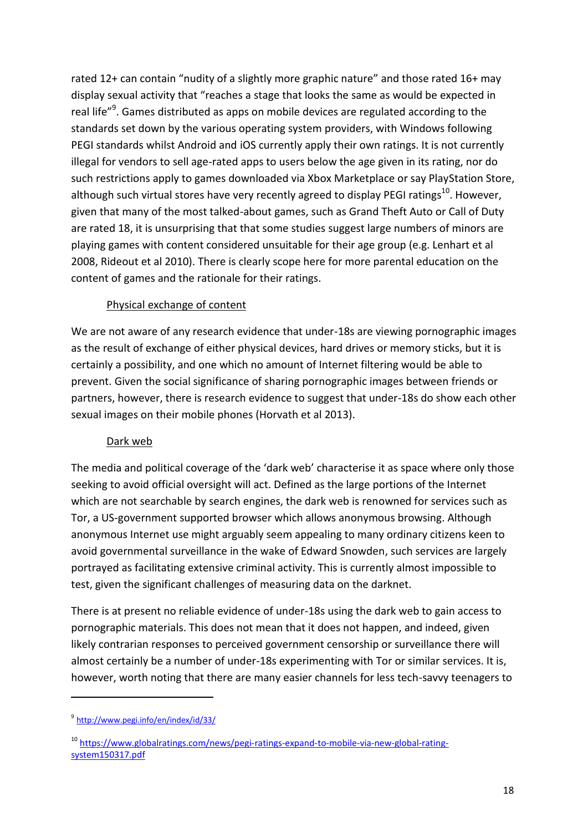rated 12+ can contain "nudity of a slightly more graphic nature" and those rated 16+ may display sexual activity that "reaches a stage that looks the same as would be expected in real life"<sup>9</sup>. Games distributed as apps on mobile devices are regulated according to the standards set down by the various operating system providers, with Windows following PEGI standards whilst Android and iOS currently apply their own ratings. It is not currently illegal for vendors to sell age-rated apps to users below the age given in its rating, nor do such restrictions apply to games downloaded via Xbox Marketplace or say PlayStation Store, although such virtual stores have very recently agreed to display PEGI ratings<sup>10</sup>. However, given that many of the most talked-about games, such as Grand Theft Auto or Call of Duty are rated 18, it is unsurprising that that some studies suggest large numbers of minors are playing games with content considered unsuitable for their age group (e.g. Lenhart et al 2008, Rideout et al 2010). There is clearly scope here for more parental education on the content of games and the rationale for their ratings.

## Physical exchange of content

We are not aware of any research evidence that under-18s are viewing pornographic images as the result of exchange of either physical devices, hard drives or memory sticks, but it is certainly a possibility, and one which no amount of Internet filtering would be able to prevent. Given the social significance of sharing pornographic images between friends or partners, however, there is research evidence to suggest that under-18s do show each other sexual images on their mobile phones (Horvath et al 2013).

#### Dark web

The media and political coverage of the 'dark web' characterise it as space where only those seeking to avoid official oversight will act. Defined as the large portions of the Internet which are not searchable by search engines, the dark web is renowned for services such as Tor, a US-government supported browser which allows anonymous browsing. Although anonymous Internet use might arguably seem appealing to many ordinary citizens keen to avoid governmental surveillance in the wake of Edward Snowden, such services are largely portrayed as facilitating extensive criminal activity. This is currently almost impossible to test, given the significant challenges of measuring data on the darknet.

There is at present no reliable evidence of under-18s using the dark web to gain access to pornographic materials. This does not mean that it does not happen, and indeed, given likely contrarian responses to perceived government censorship or surveillance there will almost certainly be a number of under-18s experimenting with Tor or similar services. It is, however, worth noting that there are many easier channels for less tech-savvy teenagers to

1

<sup>9</sup> http://www.pegi.info/en/index/id/33/

<sup>&</sup>lt;sup>10</sup> [https://www.globalratings.com/news/pegi-ratings-expand-to-mobile-via-new-global-rating](https://www.globalratings.com/news/pegi-ratings-expand-to-mobile-via-new-global-rating-system150317.pdf)[system150317.pdf](https://www.globalratings.com/news/pegi-ratings-expand-to-mobile-via-new-global-rating-system150317.pdf)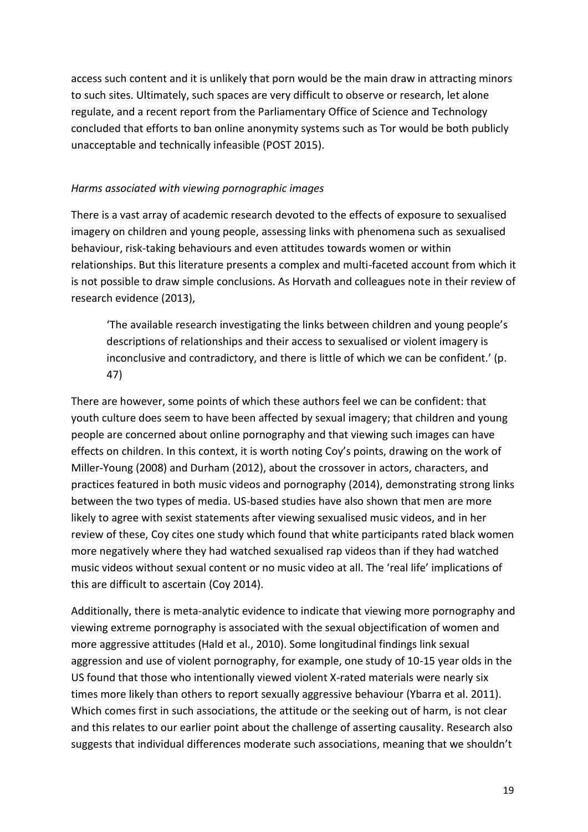access such content and it is unlikely that porn would be the main draw in attracting minors to such sites. Ultimately, such spaces are very difficult to observe or research, let alone regulate, and a recent report from the Parliamentary Office of Science and Technology concluded that efforts to ban online anonymity systems such as Tor would be both publicly unacceptable and technically infeasible (POST 2015).

#### *Harms associated with viewing pornographic images*

There is a vast array of academic research devoted to the effects of exposure to sexualised imagery on children and young people, assessing links with phenomena such as sexualised behaviour, risk-taking behaviours and even attitudes towards women or within relationships. But this literature presents a complex and multi-faceted account from which it is not possible to draw simple conclusions. As Horvath and colleagues note in their review of research evidence (2013),

'The available research investigating the links between children and young people's descriptions of relationships and their access to sexualised or violent imagery is inconclusive and contradictory, and there is little of which we can be confident.' (p. 47)

There are however, some points of which these authors feel we can be confident: that youth culture does seem to have been affected by sexual imagery; that children and young people are concerned about online pornography and that viewing such images can have effects on children. In this context, it is worth noting Coy's points, drawing on the work of Miller-Young (2008) and Durham (2012), about the crossover in actors, characters, and practices featured in both music videos and pornography (2014), demonstrating strong links between the two types of media. US-based studies have also shown that men are more likely to agree with sexist statements after viewing sexualised music videos, and in her review of these, Coy cites one study which found that white participants rated black women more negatively where they had watched sexualised rap videos than if they had watched music videos without sexual content or no music video at all. The 'real life' implications of this are difficult to ascertain (Coy 2014).

Additionally, there is meta-analytic evidence to indicate that viewing more pornography and viewing extreme pornography is associated with the sexual objectification of women and more aggressive attitudes (Hald et al., 2010). Some longitudinal findings link sexual aggression and use of violent pornography, for example, one study of 10-15 year olds in the US found that those who intentionally viewed violent X-rated materials were nearly six times more likely than others to report sexually aggressive behaviour (Ybarra et al. 2011). Which comes first in such associations, the attitude or the seeking out of harm, is not clear and this relates to our earlier point about the challenge of asserting causality. Research also suggests that individual differences moderate such associations, meaning that we shouldn't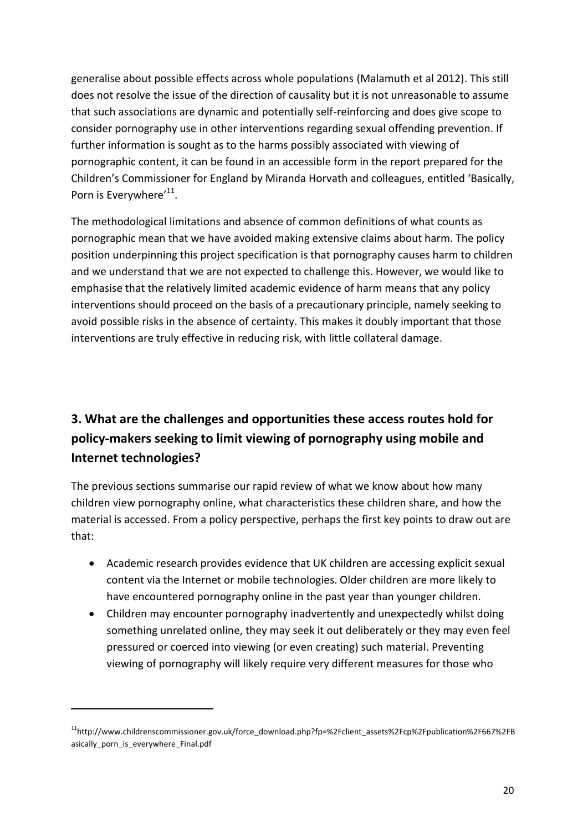generalise about possible effects across whole populations (Malamuth et al 2012). This still does not resolve the issue of the direction of causality but it is not unreasonable to assume that such associations are dynamic and potentially self-reinforcing and does give scope to consider pornography use in other interventions regarding sexual offending prevention. If further information is sought as to the harms possibly associated with viewing of pornographic content, it can be found in an accessible form in the report prepared for the Children's Commissioner for England by Miranda Horvath and colleagues, entitled 'Basically, Porn is Everywhere'<sup>11</sup>.

The methodological limitations and absence of common definitions of what counts as pornographic mean that we have avoided making extensive claims about harm. The policy position underpinning this project specification is that pornography causes harm to children and we understand that we are not expected to challenge this. However, we would like to emphasise that the relatively limited academic evidence of harm means that any policy interventions should proceed on the basis of a precautionary principle, namely seeking to avoid possible risks in the absence of certainty. This makes it doubly important that those interventions are truly effective in reducing risk, with little collateral damage.

# **3. What are the challenges and opportunities these access routes hold for policy-makers seeking to limit viewing of pornography using mobile and Internet technologies?**

The previous sections summarise our rapid review of what we know about how many children view pornography online, what characteristics these children share, and how the material is accessed. From a policy perspective, perhaps the first key points to draw out are that:

- Academic research provides evidence that UK children are accessing explicit sexual content via the Internet or mobile technologies. Older children are more likely to have encountered pornography online in the past year than younger children.
- Children may encounter pornography inadvertently and unexpectedly whilst doing something unrelated online, they may seek it out deliberately or they may even feel pressured or coerced into viewing (or even creating) such material. Preventing viewing of pornography will likely require very different measures for those who

**.** 

<sup>11</sup>http://www.childrenscommissioner.gov.uk/force\_download.php?fp=%2Fclient\_assets%2Fcp%2Fpublication%2F667%2FB asically\_porn\_is\_everywhere\_Final.pdf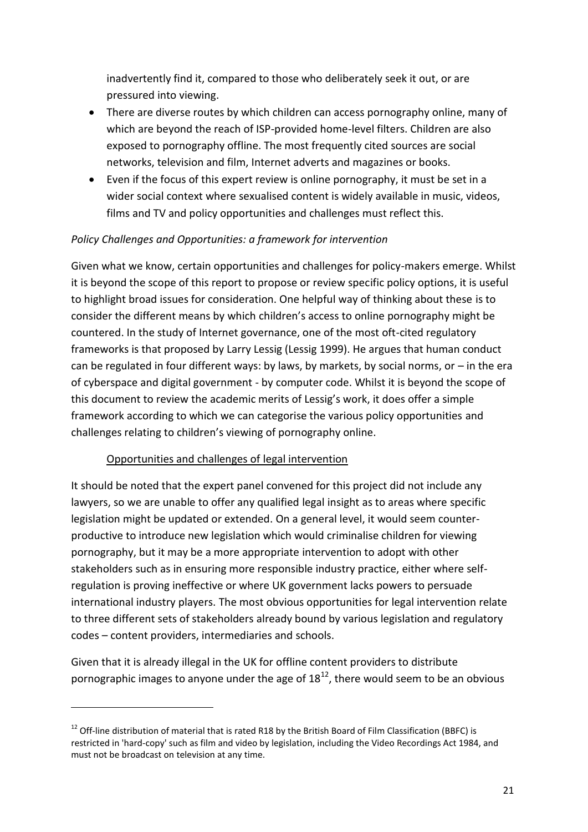inadvertently find it, compared to those who deliberately seek it out, or are pressured into viewing.

- There are diverse routes by which children can access pornography online, many of which are beyond the reach of ISP-provided home-level filters. Children are also exposed to pornography offline. The most frequently cited sources are social networks, television and film, Internet adverts and magazines or books.
- Even if the focus of this expert review is online pornography, it must be set in a wider social context where sexualised content is widely available in music, videos, films and TV and policy opportunities and challenges must reflect this.

# *Policy Challenges and Opportunities: a framework for intervention*

Given what we know, certain opportunities and challenges for policy-makers emerge. Whilst it is beyond the scope of this report to propose or review specific policy options, it is useful to highlight broad issues for consideration. One helpful way of thinking about these is to consider the different means by which children's access to online pornography might be countered. In the study of Internet governance, one of the most oft-cited regulatory frameworks is that proposed by Larry Lessig (Lessig 1999). He argues that human conduct can be regulated in four different ways: by laws, by markets, by social norms, or  $-$  in the era of cyberspace and digital government - by computer code. Whilst it is beyond the scope of this document to review the academic merits of Lessig's work, it does offer a simple framework according to which we can categorise the various policy opportunities and challenges relating to children's viewing of pornography online.

# Opportunities and challenges of legal intervention

**.** 

It should be noted that the expert panel convened for this project did not include any lawyers, so we are unable to offer any qualified legal insight as to areas where specific legislation might be updated or extended. On a general level, it would seem counterproductive to introduce new legislation which would criminalise children for viewing pornography, but it may be a more appropriate intervention to adopt with other stakeholders such as in ensuring more responsible industry practice, either where selfregulation is proving ineffective or where UK government lacks powers to persuade international industry players. The most obvious opportunities for legal intervention relate to three different sets of stakeholders already bound by various legislation and regulatory codes – content providers, intermediaries and schools.

Given that it is already illegal in the UK for offline content providers to distribute pornographic images to anyone under the age of  $18^{12}$ , there would seem to be an obvious

<sup>&</sup>lt;sup>12</sup> Off-line distribution of material that is rated R18 by the British Board of Film Classification (BBFC) is restricted in 'hard-copy' such as film and video by legislation, including the Video Recordings Act 1984, and must not be broadcast on television at any time.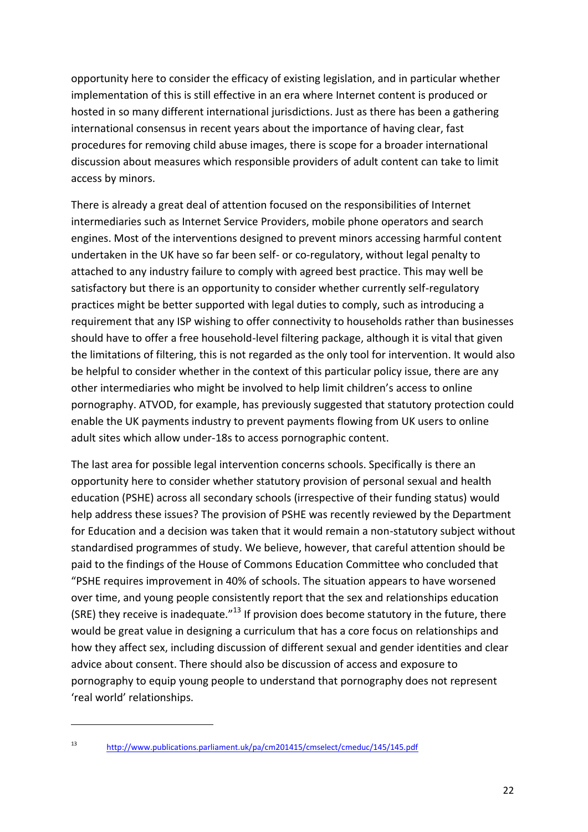opportunity here to consider the efficacy of existing legislation, and in particular whether implementation of this is still effective in an era where Internet content is produced or hosted in so many different international jurisdictions. Just as there has been a gathering international consensus in recent years about the importance of having clear, fast procedures for removing child abuse images, there is scope for a broader international discussion about measures which responsible providers of adult content can take to limit access by minors.

There is already a great deal of attention focused on the responsibilities of Internet intermediaries such as Internet Service Providers, mobile phone operators and search engines. Most of the interventions designed to prevent minors accessing harmful content undertaken in the UK have so far been self- or co-regulatory, without legal penalty to attached to any industry failure to comply with agreed best practice. This may well be satisfactory but there is an opportunity to consider whether currently self-regulatory practices might be better supported with legal duties to comply, such as introducing a requirement that any ISP wishing to offer connectivity to households rather than businesses should have to offer a free household-level filtering package, although it is vital that given the limitations of filtering, this is not regarded as the only tool for intervention. It would also be helpful to consider whether in the context of this particular policy issue, there are any other intermediaries who might be involved to help limit children's access to online pornography. ATVOD, for example, has previously suggested that statutory protection could enable the UK payments industry to prevent payments flowing from UK users to online adult sites which allow under-18s to access pornographic content.

The last area for possible legal intervention concerns schools. Specifically is there an opportunity here to consider whether statutory provision of personal sexual and health education (PSHE) across all secondary schools (irrespective of their funding status) would help address these issues? The provision of PSHE was recently reviewed by the Department for Education and a decision was taken that it would remain a non-statutory subject without standardised programmes of study. We believe, however, that careful attention should be paid to the findings of the House of Commons Education Committee who concluded that "PSHE requires improvement in 40% of schools. The situation appears to have worsened over time, and young people consistently report that the sex and relationships education (SRE) they receive is inadequate." $^{13}$  If provision does become statutory in the future, there would be great value in designing a curriculum that has a core focus on relationships and how they affect sex, including discussion of different sexual and gender identities and clear advice about consent. There should also be discussion of access and exposure to pornography to equip young people to understand that pornography does not represent 'real world' relationships.

 $\overline{\phantom{a}}$ 

<sup>13</sup> <http://www.publications.parliament.uk/pa/cm201415/cmselect/cmeduc/145/145.pdf>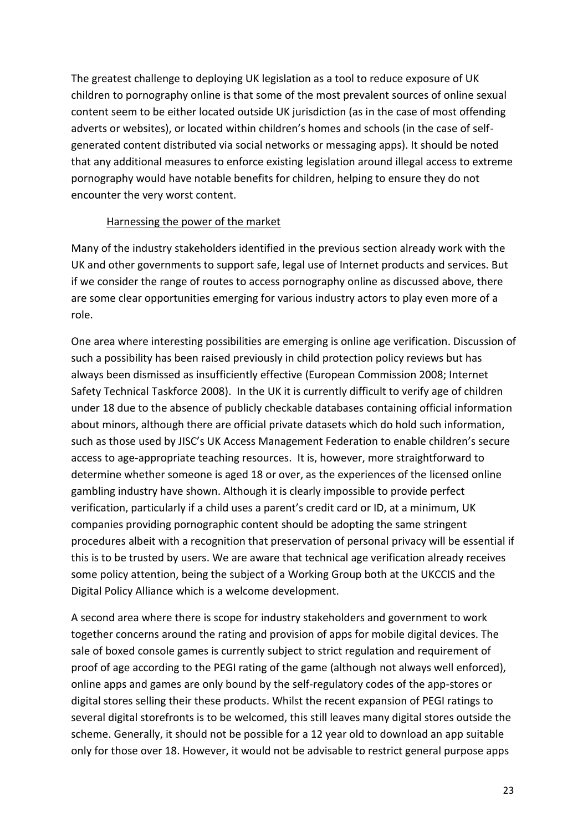The greatest challenge to deploying UK legislation as a tool to reduce exposure of UK children to pornography online is that some of the most prevalent sources of online sexual content seem to be either located outside UK jurisdiction (as in the case of most offending adverts or websites), or located within children's homes and schools (in the case of selfgenerated content distributed via social networks or messaging apps). It should be noted that any additional measures to enforce existing legislation around illegal access to extreme pornography would have notable benefits for children, helping to ensure they do not encounter the very worst content.

## Harnessing the power of the market

Many of the industry stakeholders identified in the previous section already work with the UK and other governments to support safe, legal use of Internet products and services. But if we consider the range of routes to access pornography online as discussed above, there are some clear opportunities emerging for various industry actors to play even more of a role.

One area where interesting possibilities are emerging is online age verification. Discussion of such a possibility has been raised previously in child protection policy reviews but has always been dismissed as insufficiently effective (European Commission 2008; Internet Safety Technical Taskforce 2008). In the UK it is currently difficult to verify age of children under 18 due to the absence of publicly checkable databases containing official information about minors, although there are official private datasets which do hold such information, such as those used by JISC's UK Access Management Federation to enable children's secure access to age-appropriate teaching resources. It is, however, more straightforward to determine whether someone is aged 18 or over, as the experiences of the licensed online gambling industry have shown. Although it is clearly impossible to provide perfect verification, particularly if a child uses a parent's credit card or ID, at a minimum, UK companies providing pornographic content should be adopting the same stringent procedures albeit with a recognition that preservation of personal privacy will be essential if this is to be trusted by users. We are aware that technical age verification already receives some policy attention, being the subject of a Working Group both at the UKCCIS and the Digital Policy Alliance which is a welcome development.

A second area where there is scope for industry stakeholders and government to work together concerns around the rating and provision of apps for mobile digital devices. The sale of boxed console games is currently subject to strict regulation and requirement of proof of age according to the PEGI rating of the game (although not always well enforced), online apps and games are only bound by the self-regulatory codes of the app-stores or digital stores selling their these products. Whilst the recent expansion of PEGI ratings to several digital storefronts is to be welcomed, this still leaves many digital stores outside the scheme. Generally, it should not be possible for a 12 year old to download an app suitable only for those over 18. However, it would not be advisable to restrict general purpose apps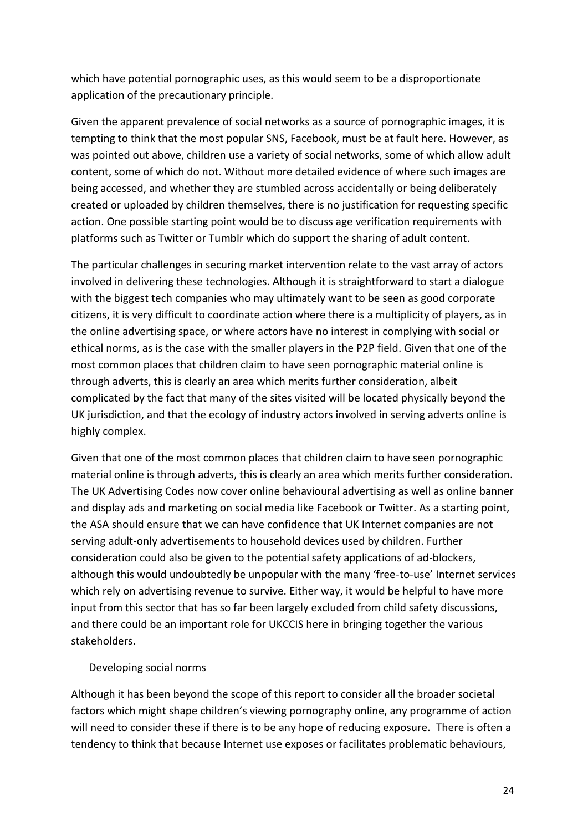which have potential pornographic uses, as this would seem to be a disproportionate application of the precautionary principle.

Given the apparent prevalence of social networks as a source of pornographic images, it is tempting to think that the most popular SNS, Facebook, must be at fault here. However, as was pointed out above, children use a variety of social networks, some of which allow adult content, some of which do not. Without more detailed evidence of where such images are being accessed, and whether they are stumbled across accidentally or being deliberately created or uploaded by children themselves, there is no justification for requesting specific action. One possible starting point would be to discuss age verification requirements with platforms such as Twitter or Tumblr which do support the sharing of adult content.

The particular challenges in securing market intervention relate to the vast array of actors involved in delivering these technologies. Although it is straightforward to start a dialogue with the biggest tech companies who may ultimately want to be seen as good corporate citizens, it is very difficult to coordinate action where there is a multiplicity of players, as in the online advertising space, or where actors have no interest in complying with social or ethical norms, as is the case with the smaller players in the P2P field. Given that one of the most common places that children claim to have seen pornographic material online is through adverts, this is clearly an area which merits further consideration, albeit complicated by the fact that many of the sites visited will be located physically beyond the UK jurisdiction, and that the ecology of industry actors involved in serving adverts online is highly complex.

Given that one of the most common places that children claim to have seen pornographic material online is through adverts, this is clearly an area which merits further consideration. The UK Advertising Codes now cover online behavioural advertising as well as online banner and display ads and marketing on social media like Facebook or Twitter. As a starting point, the ASA should ensure that we can have confidence that UK Internet companies are not serving adult-only advertisements to household devices used by children. Further consideration could also be given to the potential safety applications of ad-blockers, although this would undoubtedly be unpopular with the many 'free-to-use' Internet services which rely on advertising revenue to survive. Either way, it would be helpful to have more input from this sector that has so far been largely excluded from child safety discussions, and there could be an important role for UKCCIS here in bringing together the various stakeholders.

#### Developing social norms

Although it has been beyond the scope of this report to consider all the broader societal factors which might shape children's viewing pornography online, any programme of action will need to consider these if there is to be any hope of reducing exposure. There is often a tendency to think that because Internet use exposes or facilitates problematic behaviours,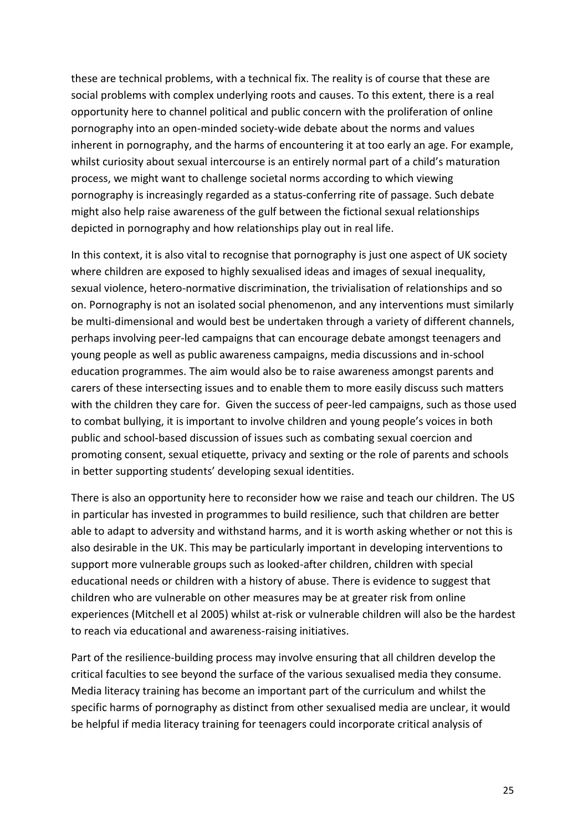these are technical problems, with a technical fix. The reality is of course that these are social problems with complex underlying roots and causes. To this extent, there is a real opportunity here to channel political and public concern with the proliferation of online pornography into an open-minded society-wide debate about the norms and values inherent in pornography, and the harms of encountering it at too early an age. For example, whilst curiosity about sexual intercourse is an entirely normal part of a child's maturation process, we might want to challenge societal norms according to which viewing pornography is increasingly regarded as a status-conferring rite of passage. Such debate might also help raise awareness of the gulf between the fictional sexual relationships depicted in pornography and how relationships play out in real life.

In this context, it is also vital to recognise that pornography is just one aspect of UK society where children are exposed to highly sexualised ideas and images of sexual inequality, sexual violence, hetero-normative discrimination, the trivialisation of relationships and so on. Pornography is not an isolated social phenomenon, and any interventions must similarly be multi-dimensional and would best be undertaken through a variety of different channels, perhaps involving peer-led campaigns that can encourage debate amongst teenagers and young people as well as public awareness campaigns, media discussions and in-school education programmes. The aim would also be to raise awareness amongst parents and carers of these intersecting issues and to enable them to more easily discuss such matters with the children they care for. Given the success of peer-led campaigns, such as those used to combat bullying, it is important to involve children and young people's voices in both public and school-based discussion of issues such as combating sexual coercion and promoting consent, sexual etiquette, privacy and sexting or the role of parents and schools in better supporting students' developing sexual identities.

There is also an opportunity here to reconsider how we raise and teach our children. The US in particular has invested in programmes to build resilience, such that children are better able to adapt to adversity and withstand harms, and it is worth asking whether or not this is also desirable in the UK. This may be particularly important in developing interventions to support more vulnerable groups such as looked-after children, children with special educational needs or children with a history of abuse. There is evidence to suggest that children who are vulnerable on other measures may be at greater risk from online experiences (Mitchell et al 2005) whilst at-risk or vulnerable children will also be the hardest to reach via educational and awareness-raising initiatives.

Part of the resilience-building process may involve ensuring that all children develop the critical faculties to see beyond the surface of the various sexualised media they consume. Media literacy training has become an important part of the curriculum and whilst the specific harms of pornography as distinct from other sexualised media are unclear, it would be helpful if media literacy training for teenagers could incorporate critical analysis of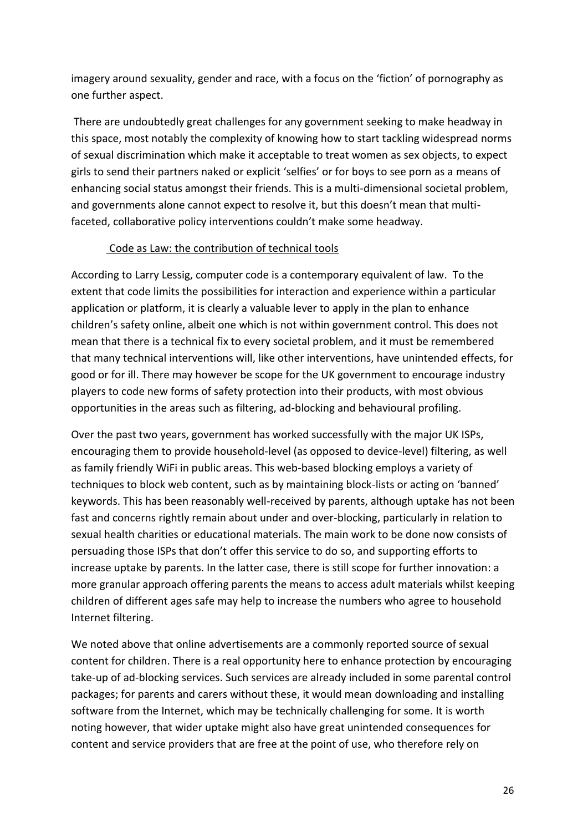imagery around sexuality, gender and race, with a focus on the 'fiction' of pornography as one further aspect.

There are undoubtedly great challenges for any government seeking to make headway in this space, most notably the complexity of knowing how to start tackling widespread norms of sexual discrimination which make it acceptable to treat women as sex objects, to expect girls to send their partners naked or explicit 'selfies' or for boys to see porn as a means of enhancing social status amongst their friends. This is a multi-dimensional societal problem, and governments alone cannot expect to resolve it, but this doesn't mean that multifaceted, collaborative policy interventions couldn't make some headway.

#### Code as Law: the contribution of technical tools

According to Larry Lessig, computer code is a contemporary equivalent of law. To the extent that code limits the possibilities for interaction and experience within a particular application or platform, it is clearly a valuable lever to apply in the plan to enhance children's safety online, albeit one which is not within government control. This does not mean that there is a technical fix to every societal problem, and it must be remembered that many technical interventions will, like other interventions, have unintended effects, for good or for ill. There may however be scope for the UK government to encourage industry players to code new forms of safety protection into their products, with most obvious opportunities in the areas such as filtering, ad-blocking and behavioural profiling.

Over the past two years, government has worked successfully with the major UK ISPs, encouraging them to provide household-level (as opposed to device-level) filtering, as well as family friendly WiFi in public areas. This web-based blocking employs a variety of techniques to block web content, such as by maintaining block-lists or acting on 'banned' keywords. This has been reasonably well-received by parents, although uptake has not been fast and concerns rightly remain about under and over-blocking, particularly in relation to sexual health charities or educational materials. The main work to be done now consists of persuading those ISPs that don't offer this service to do so, and supporting efforts to increase uptake by parents. In the latter case, there is still scope for further innovation: a more granular approach offering parents the means to access adult materials whilst keeping children of different ages safe may help to increase the numbers who agree to household Internet filtering.

We noted above that online advertisements are a commonly reported source of sexual content for children. There is a real opportunity here to enhance protection by encouraging take-up of ad-blocking services. Such services are already included in some parental control packages; for parents and carers without these, it would mean downloading and installing software from the Internet, which may be technically challenging for some. It is worth noting however, that wider uptake might also have great unintended consequences for content and service providers that are free at the point of use, who therefore rely on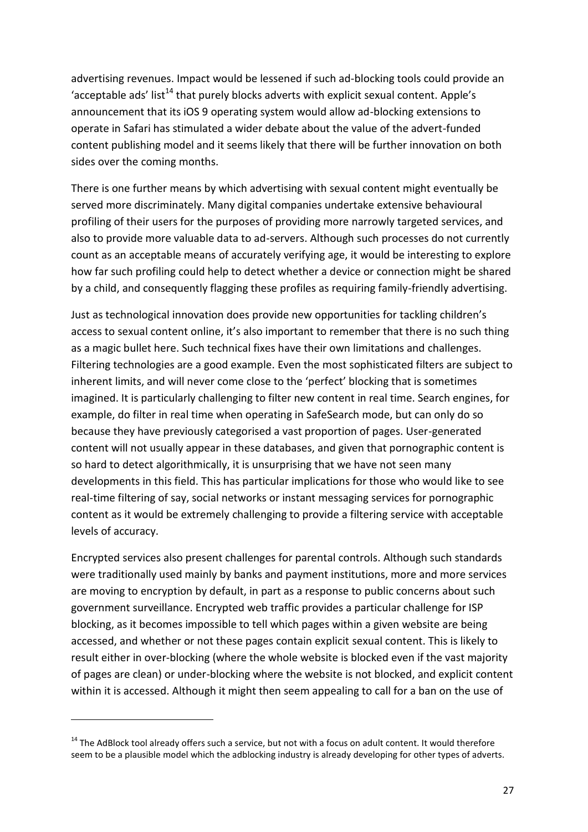advertising revenues. Impact would be lessened if such ad-blocking tools could provide an 'acceptable ads' list<sup>14</sup> that purely blocks adverts with explicit sexual content. Apple's announcement that its iOS 9 operating system would allow ad-blocking extensions to operate in Safari has stimulated a wider debate about the value of the advert-funded content publishing model and it seems likely that there will be further innovation on both sides over the coming months.

There is one further means by which advertising with sexual content might eventually be served more discriminately. Many digital companies undertake extensive behavioural profiling of their users for the purposes of providing more narrowly targeted services, and also to provide more valuable data to ad-servers. Although such processes do not currently count as an acceptable means of accurately verifying age, it would be interesting to explore how far such profiling could help to detect whether a device or connection might be shared by a child, and consequently flagging these profiles as requiring family-friendly advertising.

Just as technological innovation does provide new opportunities for tackling children's access to sexual content online, it's also important to remember that there is no such thing as a magic bullet here. Such technical fixes have their own limitations and challenges. Filtering technologies are a good example. Even the most sophisticated filters are subject to inherent limits, and will never come close to the 'perfect' blocking that is sometimes imagined. It is particularly challenging to filter new content in real time. Search engines, for example, do filter in real time when operating in SafeSearch mode, but can only do so because they have previously categorised a vast proportion of pages. User-generated content will not usually appear in these databases, and given that pornographic content is so hard to detect algorithmically, it is unsurprising that we have not seen many developments in this field. This has particular implications for those who would like to see real-time filtering of say, social networks or instant messaging services for pornographic content as it would be extremely challenging to provide a filtering service with acceptable levels of accuracy.

Encrypted services also present challenges for parental controls. Although such standards were traditionally used mainly by banks and payment institutions, more and more services are moving to encryption by default, in part as a response to public concerns about such government surveillance. Encrypted web traffic provides a particular challenge for ISP blocking, as it becomes impossible to tell which pages within a given website are being accessed, and whether or not these pages contain explicit sexual content. This is likely to result either in over-blocking (where the whole website is blocked even if the vast majority of pages are clean) or under-blocking where the website is not blocked, and explicit content within it is accessed. Although it might then seem appealing to call for a ban on the use of

1

 $14$  The AdBlock tool already offers such a service, but not with a focus on adult content. It would therefore seem to be a plausible model which the adblocking industry is already developing for other types of adverts.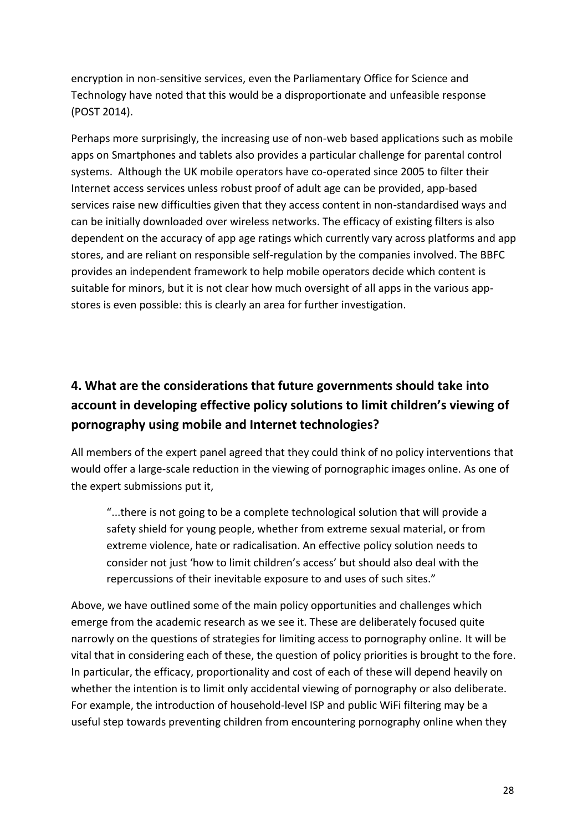encryption in non-sensitive services, even the Parliamentary Office for Science and Technology have noted that this would be a disproportionate and unfeasible response (POST 2014).

Perhaps more surprisingly, the increasing use of non-web based applications such as mobile apps on Smartphones and tablets also provides a particular challenge for parental control systems. Although the UK mobile operators have co-operated since 2005 to filter their Internet access services unless robust proof of adult age can be provided, app-based services raise new difficulties given that they access content in non-standardised ways and can be initially downloaded over wireless networks. The efficacy of existing filters is also dependent on the accuracy of app age ratings which currently vary across platforms and app stores, and are reliant on responsible self-regulation by the companies involved. The BBFC provides an independent framework to help mobile operators decide which content is suitable for minors, but it is not clear how much oversight of all apps in the various appstores is even possible: this is clearly an area for further investigation.

# **4. What are the considerations that future governments should take into account in developing effective policy solutions to limit children's viewing of pornography using mobile and Internet technologies?**

All members of the expert panel agreed that they could think of no policy interventions that would offer a large-scale reduction in the viewing of pornographic images online. As one of the expert submissions put it,

"...there is not going to be a complete technological solution that will provide a safety shield for young people, whether from extreme sexual material, or from extreme violence, hate or radicalisation. An effective policy solution needs to consider not just 'how to limit children's access' but should also deal with the repercussions of their inevitable exposure to and uses of such sites."

Above, we have outlined some of the main policy opportunities and challenges which emerge from the academic research as we see it. These are deliberately focused quite narrowly on the questions of strategies for limiting access to pornography online. It will be vital that in considering each of these, the question of policy priorities is brought to the fore. In particular, the efficacy, proportionality and cost of each of these will depend heavily on whether the intention is to limit only accidental viewing of pornography or also deliberate. For example, the introduction of household-level ISP and public WiFi filtering may be a useful step towards preventing children from encountering pornography online when they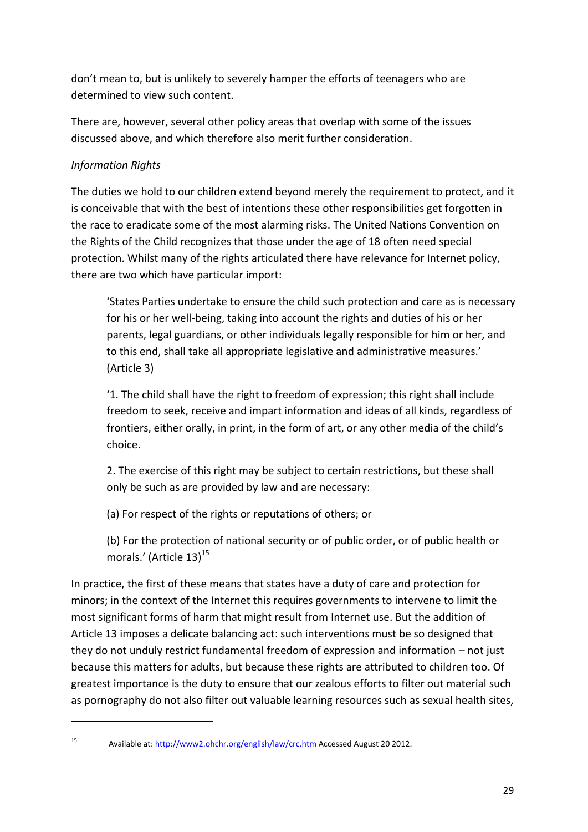don't mean to, but is unlikely to severely hamper the efforts of teenagers who are determined to view such content.

There are, however, several other policy areas that overlap with some of the issues discussed above, and which therefore also merit further consideration.

# *Information Rights*

1

The duties we hold to our children extend beyond merely the requirement to protect, and it is conceivable that with the best of intentions these other responsibilities get forgotten in the race to eradicate some of the most alarming risks. The United Nations Convention on the Rights of the Child recognizes that those under the age of 18 often need special protection. Whilst many of the rights articulated there have relevance for Internet policy, there are two which have particular import:

'States Parties undertake to ensure the child such protection and care as is necessary for his or her well-being, taking into account the rights and duties of his or her parents, legal guardians, or other individuals legally responsible for him or her, and to this end, shall take all appropriate legislative and administrative measures.' (Article 3)

'1. The child shall have the right to freedom of expression; this right shall include freedom to seek, receive and impart information and ideas of all kinds, regardless of frontiers, either orally, in print, in the form of art, or any other media of the child's choice.

2. The exercise of this right may be subject to certain restrictions, but these shall only be such as are provided by law and are necessary:

(a) For respect of the rights or reputations of others; or

(b) For the protection of national security or of public order, or of public health or morals.' (Article 13)<sup>15</sup>

In practice, the first of these means that states have a duty of care and protection for minors; in the context of the Internet this requires governments to intervene to limit the most significant forms of harm that might result from Internet use. But the addition of Article 13 imposes a delicate balancing act: such interventions must be so designed that they do not unduly restrict fundamental freedom of expression and information – not just because this matters for adults, but because these rights are attributed to children too. Of greatest importance is the duty to ensure that our zealous efforts to filter out material such as pornography do not also filter out valuable learning resources such as sexual health sites,

<sup>15</sup> Available at[: http://www2.ohchr.org/english/law/crc.htm](http://www2.ohchr.org/english/law/crc.htm) Accessed August 20 2012.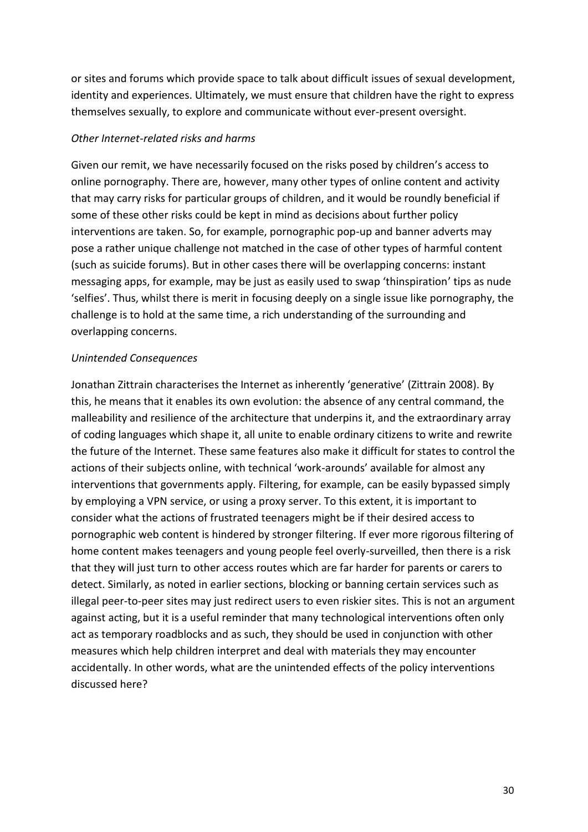or sites and forums which provide space to talk about difficult issues of sexual development, identity and experiences. Ultimately, we must ensure that children have the right to express themselves sexually, to explore and communicate without ever-present oversight.

#### *Other Internet-related risks and harms*

Given our remit, we have necessarily focused on the risks posed by children's access to online pornography. There are, however, many other types of online content and activity that may carry risks for particular groups of children, and it would be roundly beneficial if some of these other risks could be kept in mind as decisions about further policy interventions are taken. So, for example, pornographic pop-up and banner adverts may pose a rather unique challenge not matched in the case of other types of harmful content (such as suicide forums). But in other cases there will be overlapping concerns: instant messaging apps, for example, may be just as easily used to swap 'thinspiration' tips as nude 'selfies'. Thus, whilst there is merit in focusing deeply on a single issue like pornography, the challenge is to hold at the same time, a rich understanding of the surrounding and overlapping concerns.

#### *Unintended Consequences*

Jonathan Zittrain characterises the Internet as inherently 'generative' (Zittrain 2008). By this, he means that it enables its own evolution: the absence of any central command, the malleability and resilience of the architecture that underpins it, and the extraordinary array of coding languages which shape it, all unite to enable ordinary citizens to write and rewrite the future of the Internet. These same features also make it difficult for states to control the actions of their subjects online, with technical 'work-arounds' available for almost any interventions that governments apply. Filtering, for example, can be easily bypassed simply by employing a VPN service, or using a proxy server. To this extent, it is important to consider what the actions of frustrated teenagers might be if their desired access to pornographic web content is hindered by stronger filtering. If ever more rigorous filtering of home content makes teenagers and young people feel overly-surveilled, then there is a risk that they will just turn to other access routes which are far harder for parents or carers to detect. Similarly, as noted in earlier sections, blocking or banning certain services such as illegal peer-to-peer sites may just redirect users to even riskier sites. This is not an argument against acting, but it is a useful reminder that many technological interventions often only act as temporary roadblocks and as such, they should be used in conjunction with other measures which help children interpret and deal with materials they may encounter accidentally. In other words, what are the unintended effects of the policy interventions discussed here?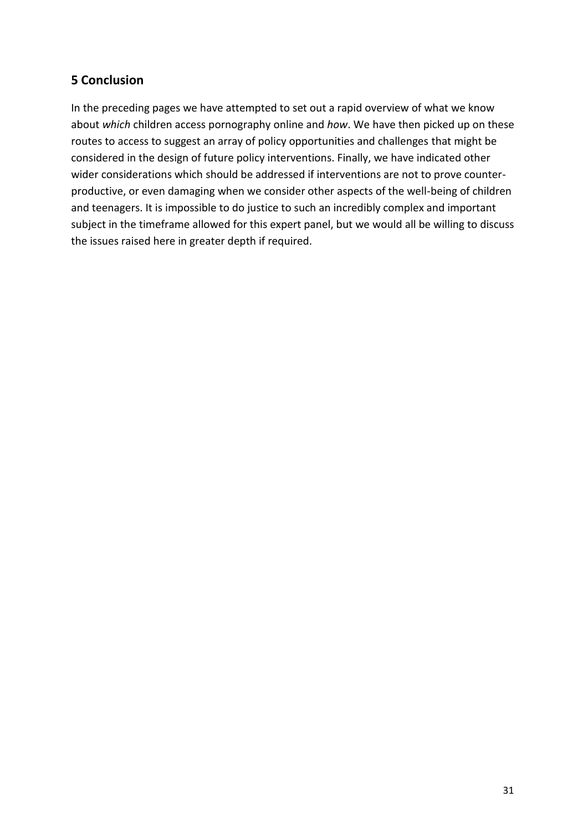# **5 Conclusion**

In the preceding pages we have attempted to set out a rapid overview of what we know about *which* children access pornography online and *how*. We have then picked up on these routes to access to suggest an array of policy opportunities and challenges that might be considered in the design of future policy interventions. Finally, we have indicated other wider considerations which should be addressed if interventions are not to prove counterproductive, or even damaging when we consider other aspects of the well-being of children and teenagers. It is impossible to do justice to such an incredibly complex and important subject in the timeframe allowed for this expert panel, but we would all be willing to discuss the issues raised here in greater depth if required.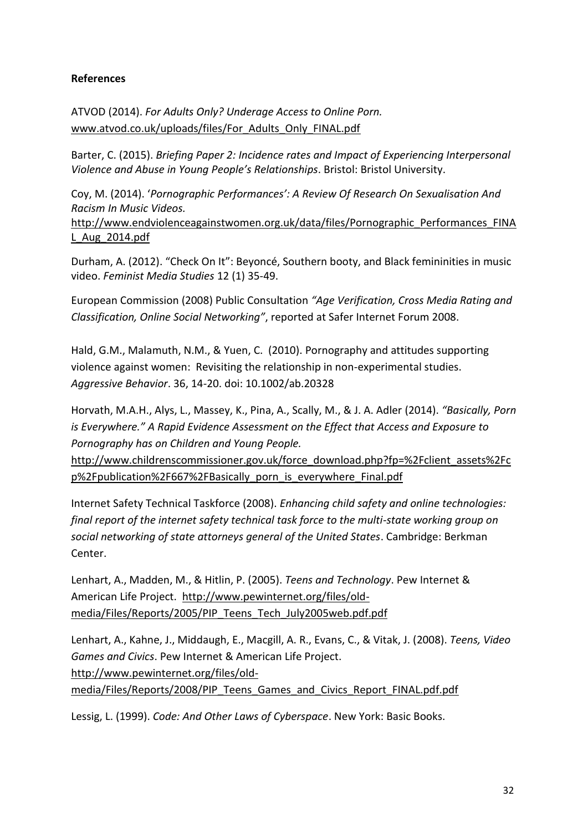## **References**

ATVOD (2014). *For Adults Only? Underage Access to Online Porn.* [www.atvod.co.uk/uploads/files/For\\_Adults\\_Only\\_FINAL.pdf](http://www.atvod.co.uk/uploads/files/For_Adults_Only_FINAL.pdf)

Barter, C. (2015). *Briefing Paper 2: Incidence rates and Impact of Experiencing Interpersonal Violence and Abuse in Young People's Relationships*. Bristol: Bristol University.

Coy, M. (2014). '*Pornographic Performances': A Review Of Research On Sexualisation And Racism In Music Videos.*

[http://www.endviolenceagainstwomen.org.uk/data/files/Pornographic\\_Performances\\_FINA](http://www.endviolenceagainstwomen.org.uk/data/files/Pornographic_Performances_FINAL_Aug_2014.pdf) [L\\_Aug\\_2014.pdf](http://www.endviolenceagainstwomen.org.uk/data/files/Pornographic_Performances_FINAL_Aug_2014.pdf)

Durham, A. (2012). "Check On It": Beyoncé, Southern booty, and Black femininities in music video. *Feminist Media Studies* 12 (1) 35-49.

European Commission (2008) Public Consultation *"Age Verification, Cross Media Rating and Classification, Online Social Networking"*, reported at Safer Internet Forum 2008.

Hald, G.M., Malamuth, N.M., & Yuen, C. (2010). Pornography and attitudes supporting violence against women: Revisiting the relationship in non-experimental studies. *Aggressive Behavior*. 36, 14-20. doi: 10.1002/ab.20328

Horvath, M.A.H., Alys, L., Massey, K., Pina, A., Scally, M., & J. A. Adler (2014). *"Basically, Porn is Everywhere." A Rapid Evidence Assessment on the Effect that Access and Exposure to Pornography has on Children and Young People.*

[http://www.childrenscommissioner.gov.uk/force\\_download.php?fp=%2Fclient\\_assets%2Fc](http://www.childrenscommissioner.gov.uk/force_download.php?fp=%2Fclient_assets%2Fcp%2Fpublication%2F667%2FBasically_porn_is_everywhere_Final.pdf) [p%2Fpublication%2F667%2FBasically\\_porn\\_is\\_everywhere\\_Final.pdf](http://www.childrenscommissioner.gov.uk/force_download.php?fp=%2Fclient_assets%2Fcp%2Fpublication%2F667%2FBasically_porn_is_everywhere_Final.pdf)

Internet Safety Technical Taskforce (2008). *Enhancing child safety and online technologies: final report of the internet safety technical task force to the multi-state working group on social networking of state attorneys general of the United States*. Cambridge: Berkman Center.

Lenhart, A., Madden, M., & Hitlin, P. (2005). *Teens and Technology*. Pew Internet & American Life Project. [http://www.pewinternet.org/files/old](http://www.pewinternet.org/files/old-media/Files/Reports/2005/PIP_Teens_Tech_July2005web.pdf.pdf)[media/Files/Reports/2005/PIP\\_Teens\\_Tech\\_July2005web.pdf.pdf](http://www.pewinternet.org/files/old-media/Files/Reports/2005/PIP_Teens_Tech_July2005web.pdf.pdf)

Lenhart, A., Kahne, J., Middaugh, E., Macgill, A. R., Evans, C., & Vitak, J. (2008). *Teens, Video Games and Civics*. Pew Internet & American Life Project. [http://www.pewinternet.org/files/old-](http://www.pewinternet.org/files/old-media/Files/Reports/2008/PIP_Teens_Games_and_Civics_Report_FINAL.pdf.pdf)

[media/Files/Reports/2008/PIP\\_Teens\\_Games\\_and\\_Civics\\_Report\\_FINAL.pdf.pdf](http://www.pewinternet.org/files/old-media/Files/Reports/2008/PIP_Teens_Games_and_Civics_Report_FINAL.pdf.pdf)

Lessig, L. (1999). *Code: And Other Laws of Cyberspace*. New York: Basic Books.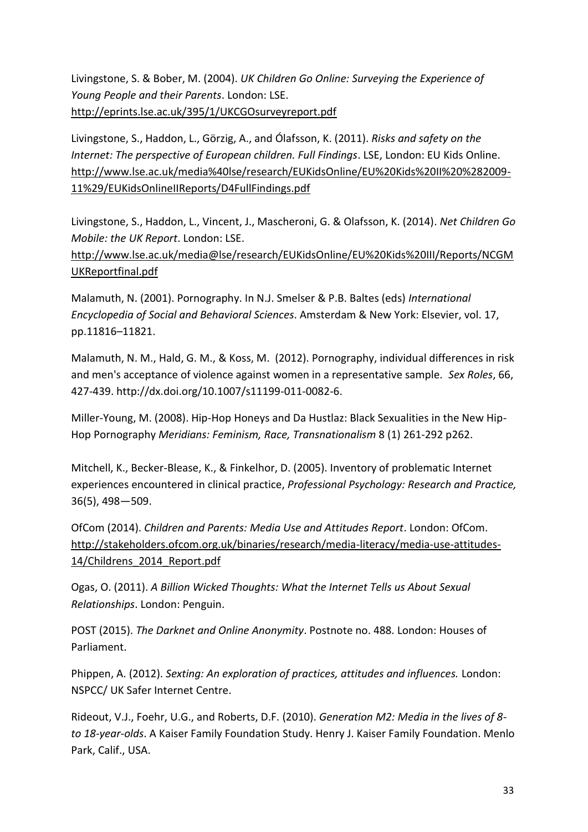Livingstone, S. & Bober, M. (2004). *UK Children Go Online: Surveying the Experience of Young People and their Parents*. London: LSE. <http://eprints.lse.ac.uk/395/1/UKCGOsurveyreport.pdf>

Livingstone, S., Haddon, L., Görzig, A., and Ólafsson, K. (2011). *Risks and safety on the Internet: The perspective of European children. Full Findings*. LSE, London: EU Kids Online. [http://www.lse.ac.uk/media%40lse/research/EUKidsOnline/EU%20Kids%20II%20%282009-](http://www.lse.ac.uk/media%40lse/research/EUKidsOnline/EU%20Kids%20II%20%282009-11%29/EUKidsOnlineIIReports/D4FullFindings.pdf) [11%29/EUKidsOnlineIIReports/D4FullFindings.pdf](http://www.lse.ac.uk/media%40lse/research/EUKidsOnline/EU%20Kids%20II%20%282009-11%29/EUKidsOnlineIIReports/D4FullFindings.pdf)

Livingstone, S., Haddon, L., Vincent, J., Mascheroni, G. & Olafsson, K. (2014). *Net Children Go Mobile: the UK Report*. London: LSE.

[http://www.lse.ac.uk/media@lse/research/EUKidsOnline/EU%20Kids%20III/Reports/NCGM](http://www.lse.ac.uk/media@lse/research/EUKidsOnline/EU%20Kids%20III/Reports/NCGMUKReportfinal.pdf) [UKReportfinal.pdf](http://www.lse.ac.uk/media@lse/research/EUKidsOnline/EU%20Kids%20III/Reports/NCGMUKReportfinal.pdf)

Malamuth, N. (2001). Pornography. In N.J. Smelser & P.B. Baltes (eds) *International Encyclopedia of Social and Behavioral Sciences*. Amsterdam & New York: Elsevier, vol. 17, pp.11816–11821.

Malamuth, N. M., Hald, G. M., & Koss, M. (2012). Pornography, individual differences in risk and men's acceptance of violence against women in a representative sample. *Sex Roles*, 66, 427-439. http://dx.doi.org/10.1007/s11199-011-0082-6.

Miller-Young, M. (2008). Hip-Hop Honeys and Da Hustlaz: Black Sexualities in the New Hip-Hop Pornography *Meridians: Feminism, Race, Transnationalism* 8 (1) 261-292 p262.

Mitchell, K., Becker-Blease, K., & Finkelhor, D. (2005). Inventory of problematic Internet experiences encountered in clinical practice, *Professional Psychology: Research and Practice,*  36(5), 498—509.

OfCom (2014). *Children and Parents: Media Use and Attitudes Report*. London: OfCom. [http://stakeholders.ofcom.org.uk/binaries/research/media-literacy/media-use-attitudes-](http://stakeholders.ofcom.org.uk/binaries/research/media-literacy/media-use-attitudes-14/Childrens_2014_Report.pdf)[14/Childrens\\_2014\\_Report.pdf](http://stakeholders.ofcom.org.uk/binaries/research/media-literacy/media-use-attitudes-14/Childrens_2014_Report.pdf)

Ogas, O. (2011). *A Billion Wicked Thoughts: What the Internet Tells us About Sexual Relationships*. London: Penguin.

POST (2015). *The Darknet and Online Anonymity*. Postnote no. 488. London: Houses of Parliament.

Phippen, A. (2012). *Sexting: An exploration of practices, attitudes and influences.* London: NSPCC/ UK Safer Internet Centre.

Rideout, V.J., Foehr, U.G., and Roberts, D.F. (2010). *Generation M2: Media in the lives of 8 to 18-year-olds*. A Kaiser Family Foundation Study. Henry J. Kaiser Family Foundation. Menlo Park, Calif., USA.